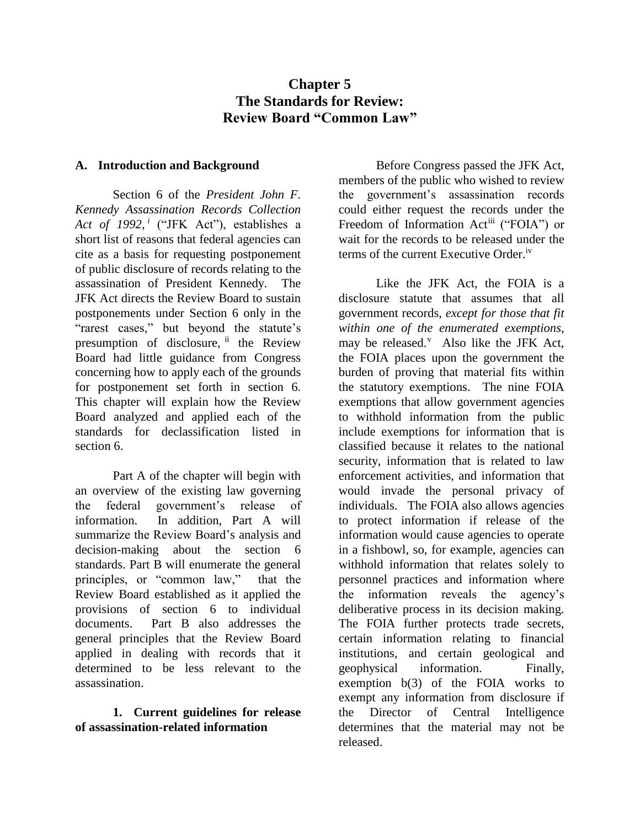# **Chapter 5 The Standards for Review: Review Board "Common Law"**

## **A. Introduction and Background**

Section 6 of the *President John F. Kennedy Assassination Records Collection Act of 1992, <sup>i</sup>* ("JFK Act"), establishes a short list of reasons that federal agencies can cite as a basis for requesting postponement of public disclosure of records relating to the assassination of President Kennedy. The JFK Act directs the Review Board to sustain postponements under Section 6 only in the "rarest cases," but beyond the statute's presumption of disclosure, if the Review Board had little guidance from Congress concerning how to apply each of the grounds for postponement set forth in section 6. This chapter will explain how the Review Board analyzed and applied each of the standards for declassification listed in section 6.

Part A of the chapter will begin with an overview of the existing law governing the federal government's release of information. In addition, Part A will summarize the Review Board's analysis and decision-making about the section 6 standards. Part B will enumerate the general principles, or "common law," that the Review Board established as it applied the provisions of section 6 to individual documents. Part B also addresses the general principles that the Review Board applied in dealing with records that it determined to be less relevant to the assassination.

**1. Current guidelines for release of assassination-related information**

Before Congress passed the JFK Act, members of the public who wished to review the government's assassination records could either request the records under the Freedom of Information Act<sup>iii</sup> ("FOIA") or wait for the records to be released under the terms of the current Executive Order.iv

Like the JFK Act, the FOIA is a disclosure statute that assumes that all government records, *except for those that fit within one of the enumerated exemptions,* may be released.<sup>v</sup> Also like the JFK Act, the FOIA places upon the government the burden of proving that material fits within the statutory exemptions. The nine FOIA exemptions that allow government agencies to withhold information from the public include exemptions for information that is classified because it relates to the national security, information that is related to law enforcement activities, and information that would invade the personal privacy of individuals. The FOIA also allows agencies to protect information if release of the information would cause agencies to operate in a fishbowl, so, for example, agencies can withhold information that relates solely to personnel practices and information where the information reveals the agency's deliberative process in its decision making. The FOIA further protects trade secrets, certain information relating to financial institutions, and certain geological and geophysical information. Finally, exemption b(3) of the FOIA works to exempt any information from disclosure if the Director of Central Intelligence determines that the material may not be released.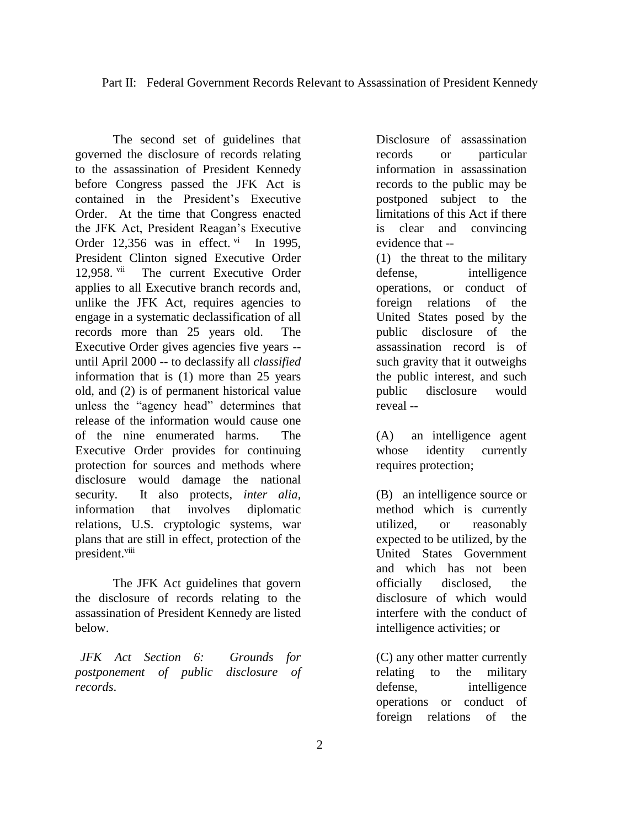The second set of guidelines that governed the disclosure of records relating to the assassination of President Kennedy before Congress passed the JFK Act is contained in the President's Executive Order. At the time that Congress enacted the JFK Act, President Reagan's Executive Order 12,356 was in effect.  $\frac{vi}{i}$  In 1995, President Clinton signed Executive Order 12,958. vii The current Executive Order applies to all Executive branch records and, unlike the JFK Act, requires agencies to engage in a systematic declassification of all records more than 25 years old. The Executive Order gives agencies five years - until April 2000 -- to declassify all *classified* information that is (1) more than 25 years old, and (2) is of permanent historical value unless the "agency head" determines that release of the information would cause one of the nine enumerated harms. The Executive Order provides for continuing protection for sources and methods where disclosure would damage the national security. It also protects, *inter alia,* information that involves diplomatic relations, U.S. cryptologic systems, war plans that are still in effect, protection of the president.viii

The JFK Act guidelines that govern the disclosure of records relating to the assassination of President Kennedy are listed below.

*JFK Act Section 6: Grounds for postponement of public disclosure of records*.

Disclosure of assassination records or particular information in assassination records to the public may be postponed subject to the limitations of this Act if there is clear and convincing evidence that --

(1) the threat to the military defense, intelligence operations, or conduct of foreign relations of the United States posed by the public disclosure of the assassination record is of such gravity that it outweighs the public interest, and such public disclosure would reveal --

(A) an intelligence agent whose identity currently requires protection;

(B) an intelligence source or method which is currently utilized, or reasonably expected to be utilized, by the United States Government and which has not been officially disclosed, the disclosure of which would interfere with the conduct of intelligence activities; or

(C) any other matter currently relating to the military defense, intelligence operations or conduct of foreign relations of the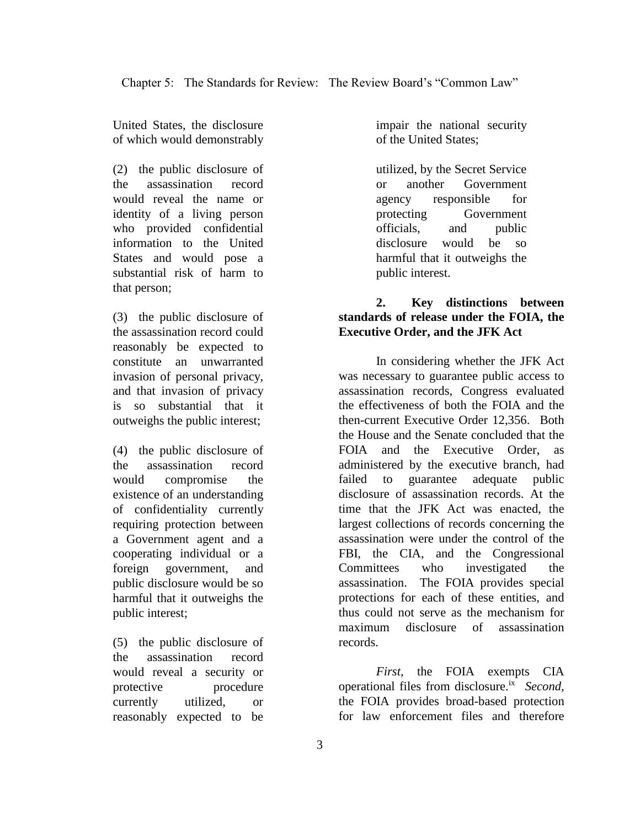United States, the disclosure of which would demonstrably

(2) the public disclosure of the assassination record would reveal the name or identity of a living person who provided confidential information to the United States and would pose a substantial risk of harm to that person;

(3) the public disclosure of the assassination record could reasonably be expected to constitute an unwarranted invasion of personal privacy, and that invasion of privacy is so substantial that it outweighs the public interest;

(4) the public disclosure of the assassination record would compromise the existence of an understanding of confidentiality currently requiring protection between a Government agent and a cooperating individual or a foreign government, and public disclosure would be so harmful that it outweighs the public interest;

(5) the public disclosure of the assassination record would reveal a security or protective procedure currently utilized, or reasonably expected to be

impair the national security of the United States;

utilized, by the Secret Service or another Government agency responsible for protecting Government officials, and public disclosure would be so harmful that it outweighs the public interest.

## **2. Key distinctions between standards of release under the FOIA, the Executive Order, and the JFK Act**

In considering whether the JFK Act was necessary to guarantee public access to assassination records, Congress evaluated the effectiveness of both the FOIA and the then-current Executive Order 12,356. Both the House and the Senate concluded that the FOIA and the Executive Order, as administered by the executive branch, had failed to guarantee adequate public disclosure of assassination records. At the time that the JFK Act was enacted, the largest collections of records concerning the assassination were under the control of the FBI, the CIA, and the Congressional Committees who investigated the assassination. The FOIA provides special protections for each of these entities, and thus could not serve as the mechanism for maximum disclosure of assassination records.

*First,* the FOIA exempts CIA operational files from disclosure.ix *Second,* the FOIA provides broad-based protection for law enforcement files and therefore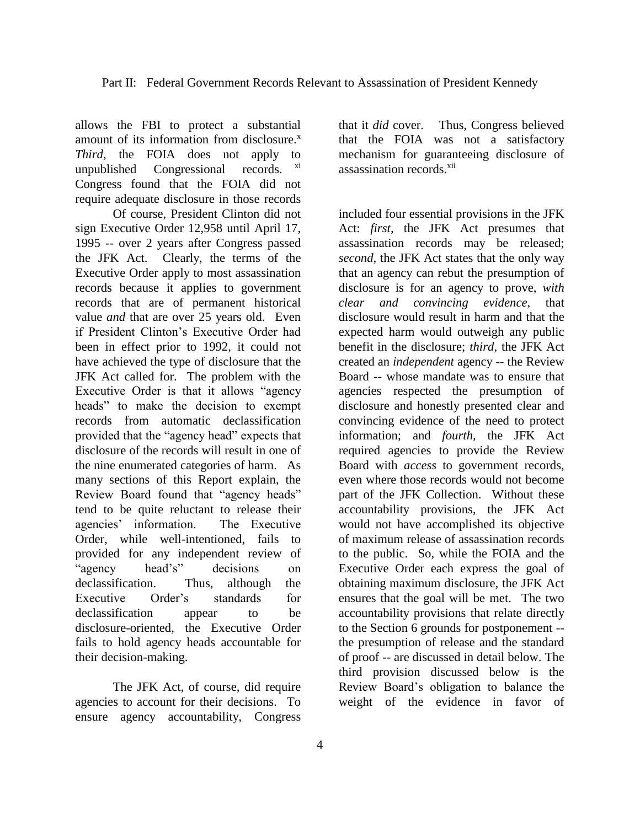allows the FBI to protect a substantial amount of its information from disclosure.<sup>x</sup> *Third,* the FOIA does not apply to unpublished Congressional records. xi Congress found that the FOIA did not require adequate disclosure in those records

Of course, President Clinton did not sign Executive Order 12,958 until April 17, 1995 -- over 2 years after Congress passed the JFK Act. Clearly, the terms of the Executive Order apply to most assassination records because it applies to government records that are of permanent historical value *and* that are over 25 years old. Even if President Clinton's Executive Order had been in effect prior to 1992, it could not have achieved the type of disclosure that the JFK Act called for. The problem with the Executive Order is that it allows "agency heads" to make the decision to exempt records from automatic declassification provided that the "agency head" expects that disclosure of the records will result in one of the nine enumerated categories of harm. As many sections of this Report explain, the Review Board found that "agency heads" tend to be quite reluctant to release their agencies' information. The Executive Order, while well-intentioned, fails to provided for any independent review of "agency head's" decisions on declassification. Thus, although the Executive Order's standards for declassification appear to be disclosure-oriented, the Executive Order fails to hold agency heads accountable for their decision-making.

The JFK Act, of course, did require agencies to account for their decisions. To ensure agency accountability, Congress

that it *did* cover. Thus, Congress believed that the FOIA was not a satisfactory mechanism for guaranteeing disclosure of assassination records<sup>xii</sup>

included four essential provisions in the JFK Act: *first,* the JFK Act presumes that assassination records may be released; *second*, the JFK Act states that the only way that an agency can rebut the presumption of disclosure is for an agency to prove, *with clear and convincing evidence,* that disclosure would result in harm and that the expected harm would outweigh any public benefit in the disclosure; *third,* the JFK Act created an *independent* agency -- the Review Board -- whose mandate was to ensure that agencies respected the presumption of disclosure and honestly presented clear and convincing evidence of the need to protect information; and *fourth,* the JFK Act required agencies to provide the Review Board with *access* to government records, even where those records would not become part of the JFK Collection. Without these accountability provisions, the JFK Act would not have accomplished its objective of maximum release of assassination records to the public. So, while the FOIA and the Executive Order each express the goal of obtaining maximum disclosure, the JFK Act ensures that the goal will be met. The two accountability provisions that relate directly to the Section 6 grounds for postponement - the presumption of release and the standard of proof -- are discussed in detail below. The third provision discussed below is the Review Board's obligation to balance the weight of the evidence in favor of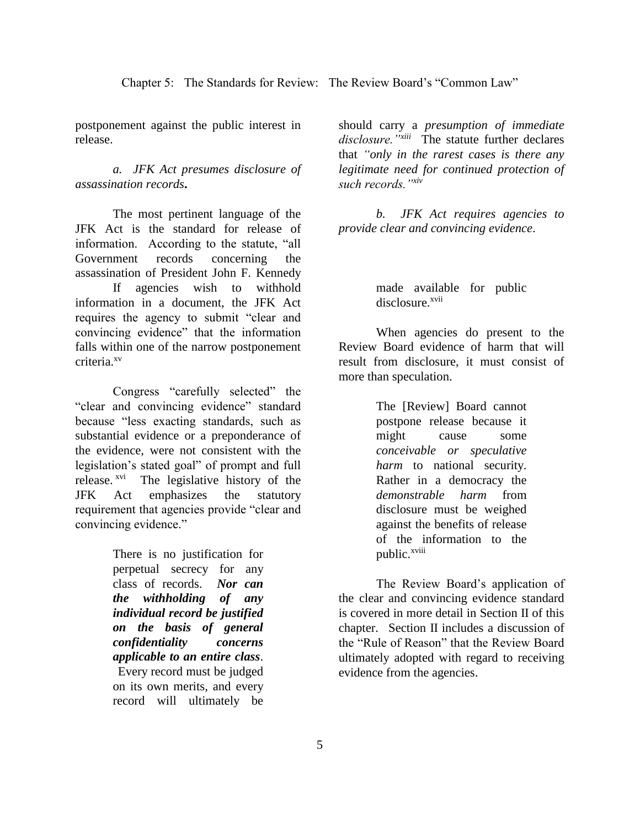Chapter 5: The Standards for Review: The Review Board's "Common Law"

postponement against the public interest in release.

*a. JFK Act presumes disclosure of assassination records***.**

The most pertinent language of the JFK Act is the standard for release of information. According to the statute, "all Government records concerning the assassination of President John F. Kennedy If agencies wish to withhold information in a document, the JFK Act requires the agency to submit "clear and convincing evidence" that the information falls within one of the narrow postponement criteria.xv

Congress "carefully selected" the "clear and convincing evidence" standard because "less exacting standards, such as substantial evidence or a preponderance of the evidence, were not consistent with the legislation's stated goal" of prompt and full release.<sup>xvi</sup> The legislative history of the JFK Act emphasizes the statutory requirement that agencies provide "clear and convincing evidence."

> There is no justification for perpetual secrecy for any class of records. *Nor can the withholding of any individual record be justified on the basis of general confidentiality concerns applicable to an entire class*. Every record must be judged on its own merits, and every record will ultimately be

should carry a *presumption of immediate disclosure."xiii* The statute further declares that *"only in the rarest cases is there any legitimate need for continued protection of such records."xiv*

*b. JFK Act requires agencies to provide clear and convincing evidence*.

> made available for public disclosure.<sup>xvii</sup>

When agencies do present to the Review Board evidence of harm that will result from disclosure, it must consist of more than speculation.

> The [Review] Board cannot postpone release because it might cause some *conceivable or speculative harm* to national security. Rather in a democracy the *demonstrable harm* from disclosure must be weighed against the benefits of release of the information to the public.<sup>xviii</sup>

The Review Board's application of the clear and convincing evidence standard is covered in more detail in Section II of this chapter. Section II includes a discussion of the "Rule of Reason" that the Review Board ultimately adopted with regard to receiving evidence from the agencies.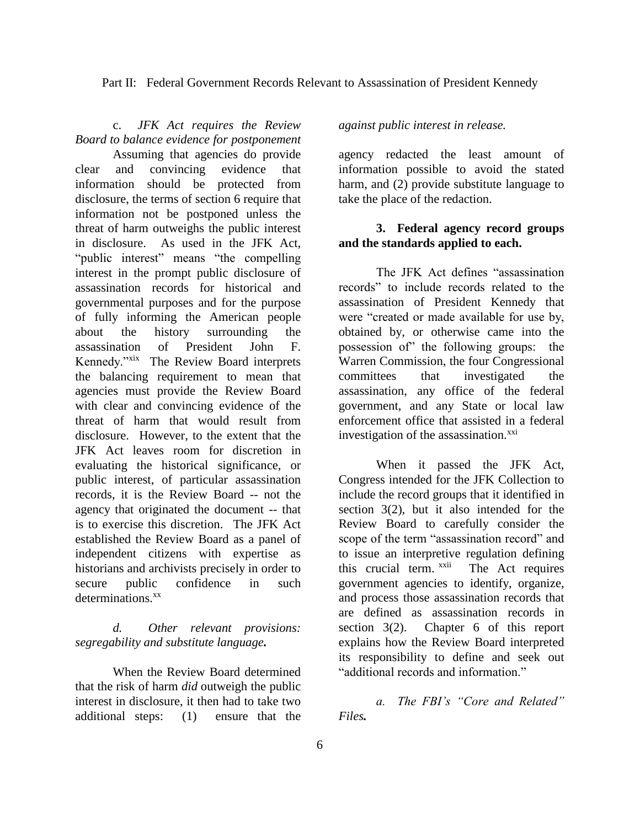Part II: Federal Government Records Relevant to Assassination of President Kennedy

c. *JFK Act requires the Review Board to balance evidence for postponement* 

Assuming that agencies do provide clear and convincing evidence that information should be protected from disclosure, the terms of section 6 require that information not be postponed unless the threat of harm outweighs the public interest in disclosure. As used in the JFK Act, "public interest" means "the compelling interest in the prompt public disclosure of assassination records for historical and governmental purposes and for the purpose of fully informing the American people about the history surrounding the assassination of President John F. Kennedy."xix The Review Board interprets the balancing requirement to mean that agencies must provide the Review Board with clear and convincing evidence of the threat of harm that would result from disclosure. However, to the extent that the JFK Act leaves room for discretion in evaluating the historical significance, or public interest, of particular assassination records, it is the Review Board -- not the agency that originated the document -- that is to exercise this discretion. The JFK Act established the Review Board as a panel of independent citizens with expertise as historians and archivists precisely in order to secure public confidence in such determinations.<sup>xx</sup>

*d. Other relevant provisions: segregability and substitute language.*

When the Review Board determined that the risk of harm *did* outweigh the public interest in disclosure, it then had to take two additional steps: (1) ensure that the

## *against public interest in release.*

agency redacted the least amount of information possible to avoid the stated harm, and (2) provide substitute language to take the place of the redaction.

## **3. Federal agency record groups and the standards applied to each.**

The JFK Act defines "assassination records" to include records related to the assassination of President Kennedy that were "created or made available for use by, obtained by, or otherwise came into the possession of" the following groups: the Warren Commission, the four Congressional committees that investigated the assassination, any office of the federal government, and any State or local law enforcement office that assisted in a federal investigation of the assassination. ${}^{xxi}$ 

When it passed the JFK Act, Congress intended for the JFK Collection to include the record groups that it identified in section 3(2), but it also intended for the Review Board to carefully consider the scope of the term "assassination record" and to issue an interpretive regulation defining this crucial term. xxii The Act requires government agencies to identify, organize, and process those assassination records that are defined as assassination records in section 3(2). Chapter 6 of this report explains how the Review Board interpreted its responsibility to define and seek out "additional records and information."

*a. The FBI's "Core and Related" Files.*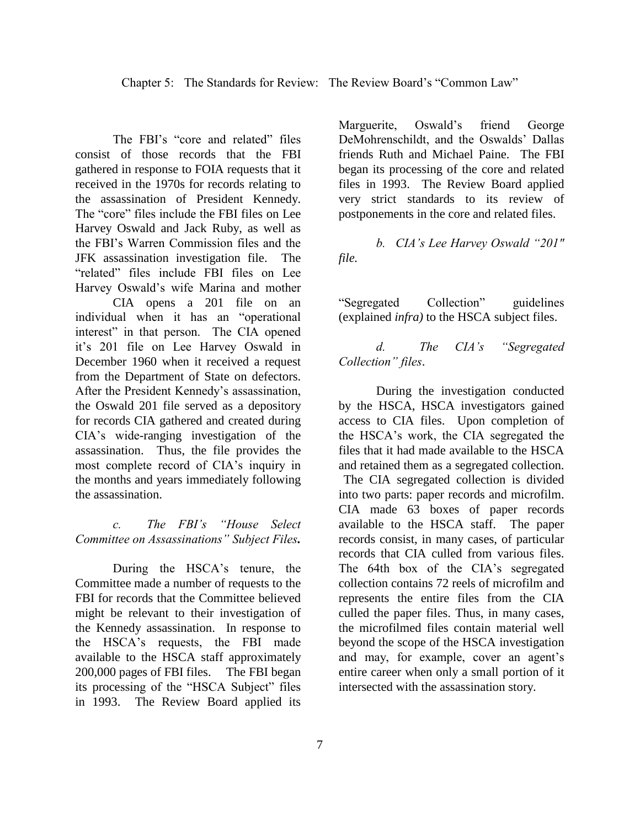The FBI's "core and related" files consist of those records that the FBI gathered in response to FOIA requests that it received in the 1970s for records relating to the assassination of President Kennedy. The "core" files include the FBI files on Lee Harvey Oswald and Jack Ruby, as well as the FBI's Warren Commission files and the JFK assassination investigation file. The "related" files include FBI files on Lee Harvey Oswald's wife Marina and mother

CIA opens a 201 file on an individual when it has an "operational interest" in that person. The CIA opened it's 201 file on Lee Harvey Oswald in December 1960 when it received a request from the Department of State on defectors. After the President Kennedy's assassination, the Oswald 201 file served as a depository for records CIA gathered and created during CIA's wide-ranging investigation of the assassination. Thus, the file provides the most complete record of CIA's inquiry in the months and years immediately following the assassination.

*c. The FBI's "House Select Committee on Assassinations" Subject Files.*

During the HSCA's tenure, the Committee made a number of requests to the FBI for records that the Committee believed might be relevant to their investigation of the Kennedy assassination. In response to the HSCA's requests, the FBI made available to the HSCA staff approximately 200,000 pages of FBI files. The FBI began its processing of the "HSCA Subject" files in 1993. The Review Board applied its

Marguerite, Oswald's friend George DeMohrenschildt, and the Oswalds' Dallas friends Ruth and Michael Paine. The FBI began its processing of the core and related files in 1993. The Review Board applied very strict standards to its review of postponements in the core and related files.

*b. CIA's Lee Harvey Oswald "201" file.*

"Segregated Collection" guidelines (explained *infra)* to the HSCA subject files.

*d. The CIA's "Segregated Collection" files*.

During the investigation conducted by the HSCA, HSCA investigators gained access to CIA files. Upon completion of the HSCA's work, the CIA segregated the files that it had made available to the HSCA and retained them as a segregated collection. The CIA segregated collection is divided into two parts: paper records and microfilm. CIA made 63 boxes of paper records available to the HSCA staff. The paper records consist, in many cases, of particular records that CIA culled from various files. The 64th box of the CIA's segregated collection contains 72 reels of microfilm and represents the entire files from the CIA culled the paper files. Thus, in many cases, the microfilmed files contain material well beyond the scope of the HSCA investigation and may, for example, cover an agent's entire career when only a small portion of it intersected with the assassination story.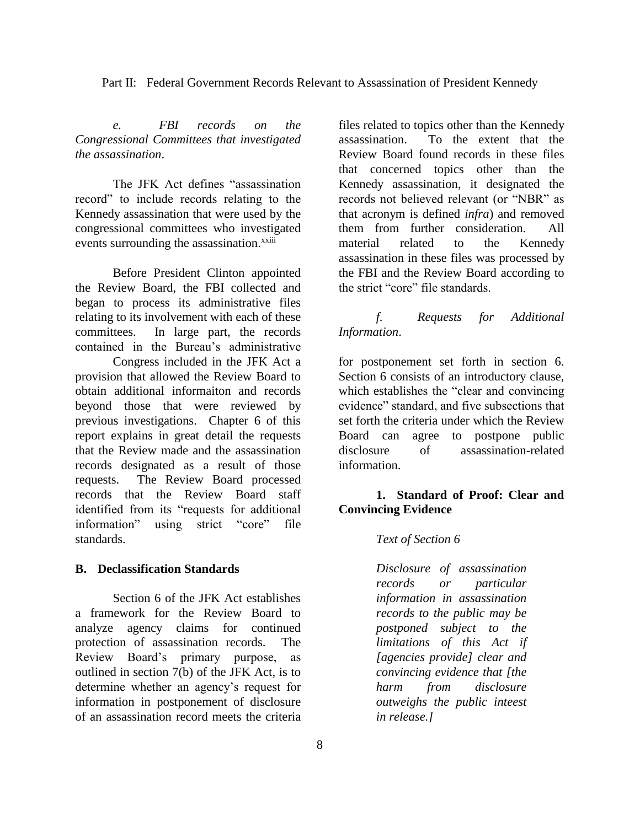Part II: Federal Government Records Relevant to Assassination of President Kennedy

*e. FBI records on the Congressional Committees that investigated the assassination*.

The JFK Act defines "assassination record" to include records relating to the Kennedy assassination that were used by the congressional committees who investigated events surrounding the assassination.<sup>xxiii</sup>

Before President Clinton appointed the Review Board, the FBI collected and began to process its administrative files relating to its involvement with each of these committees. In large part, the records contained in the Bureau's administrative

Congress included in the JFK Act a provision that allowed the Review Board to obtain additional informaiton and records beyond those that were reviewed by previous investigations. Chapter 6 of this report explains in great detail the requests that the Review made and the assassination records designated as a result of those requests. The Review Board processed records that the Review Board staff identified from its "requests for additional information" using strict "core" file standards.

### **B. Declassification Standards**

Section 6 of the JFK Act establishes a framework for the Review Board to analyze agency claims for continued protection of assassination records. The Review Board's primary purpose, as outlined in section 7(b) of the JFK Act, is to determine whether an agency's request for information in postponement of disclosure of an assassination record meets the criteria files related to topics other than the Kennedy assassination. To the extent that the Review Board found records in these files that concerned topics other than the Kennedy assassination, it designated the records not believed relevant (or "NBR" as that acronym is defined *infra*) and removed them from further consideration. All material related to the Kennedy assassination in these files was processed by the FBI and the Review Board according to the strict "core" file standards.

## *f. Requests for Additional Information*.

for postponement set forth in section 6. Section 6 consists of an introductory clause, which establishes the "clear and convincing evidence" standard, and five subsections that set forth the criteria under which the Review Board can agree to postpone public disclosure of assassination-related information.

## **1. Standard of Proof: Clear and Convincing Evidence**

### *Text of Section 6*

*Disclosure of assassination records or particular information in assassination records to the public may be postponed subject to the limitations of this Act if [agencies provide] clear and convincing evidence that [the harm from disclosure outweighs the public inteest in release.]*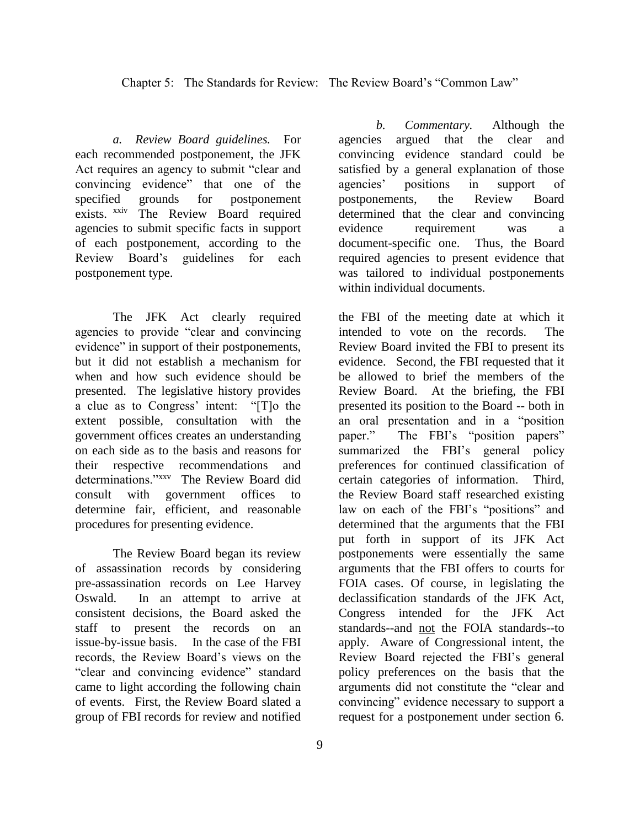Chapter 5: The Standards for Review: The Review Board's "Common Law"

*a. Review Board guidelines.* For each recommended postponement, the JFK Act requires an agency to submit "clear and convincing evidence" that one of the specified grounds for postponement exists. xxiv The Review Board required agencies to submit specific facts in support of each postponement, according to the Review Board's guidelines for each postponement type.

The JFK Act clearly required agencies to provide "clear and convincing evidence" in support of their postponements, but it did not establish a mechanism for when and how such evidence should be presented. The legislative history provides a clue as to Congress' intent: "[T]o the extent possible, consultation with the government offices creates an understanding on each side as to the basis and reasons for their respective recommendations and determinations."xxv The Review Board did consult with government offices to determine fair, efficient, and reasonable procedures for presenting evidence.

The Review Board began its review of assassination records by considering pre-assassination records on Lee Harvey Oswald. In an attempt to arrive at consistent decisions, the Board asked the staff to present the records on an issue-by-issue basis. In the case of the FBI records, the Review Board's views on the "clear and convincing evidence" standard came to light according the following chain of events. First, the Review Board slated a group of FBI records for review and notified

*b. Commentary.* Although the agencies argued that the clear and convincing evidence standard could be satisfied by a general explanation of those agencies' positions in support of postponements, the Review Board determined that the clear and convincing evidence requirement was document-specific one. Thus, the Board required agencies to present evidence that was tailored to individual postponements within individual documents.

the FBI of the meeting date at which it intended to vote on the records. The Review Board invited the FBI to present its evidence. Second, the FBI requested that it be allowed to brief the members of the Review Board. At the briefing, the FBI presented its position to the Board -- both in an oral presentation and in a "position paper." The FBI's "position papers" summarized the FBI's general policy preferences for continued classification of certain categories of information. Third, the Review Board staff researched existing law on each of the FBI's "positions" and determined that the arguments that the FBI put forth in support of its JFK Act postponements were essentially the same arguments that the FBI offers to courts for FOIA cases. Of course, in legislating the declassification standards of the JFK Act, Congress intended for the JFK Act standards--and not the FOIA standards--to apply. Aware of Congressional intent, the Review Board rejected the FBI's general policy preferences on the basis that the arguments did not constitute the "clear and convincing" evidence necessary to support a request for a postponement under section 6.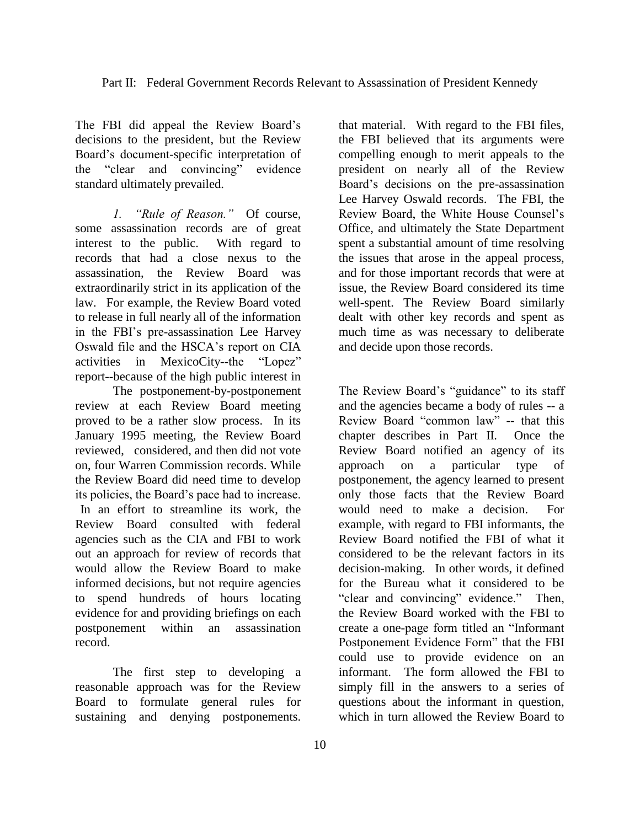The FBI did appeal the Review Board's decisions to the president, but the Review Board's document-specific interpretation of the "clear and convincing" evidence standard ultimately prevailed.

*1. "Rule of Reason."* Of course, some assassination records are of great interest to the public. With regard to records that had a close nexus to the assassination, the Review Board was extraordinarily strict in its application of the law. For example, the Review Board voted to release in full nearly all of the information in the FBI's pre-assassination Lee Harvey Oswald file and the HSCA's report on CIA activities in MexicoCity--the "Lopez" report--because of the high public interest in

The postponement-by-postponement review at each Review Board meeting proved to be a rather slow process. In its January 1995 meeting, the Review Board reviewed, considered, and then did not vote on, four Warren Commission records. While the Review Board did need time to develop its policies, the Board's pace had to increase. In an effort to streamline its work, the Review Board consulted with federal agencies such as the CIA and FBI to work out an approach for review of records that would allow the Review Board to make informed decisions, but not require agencies to spend hundreds of hours locating evidence for and providing briefings on each postponement within an assassination record.

The first step to developing a reasonable approach was for the Review Board to formulate general rules for sustaining and denying postponements.

that material. With regard to the FBI files, the FBI believed that its arguments were compelling enough to merit appeals to the president on nearly all of the Review Board's decisions on the pre-assassination Lee Harvey Oswald records. The FBI, the Review Board, the White House Counsel's Office, and ultimately the State Department spent a substantial amount of time resolving the issues that arose in the appeal process, and for those important records that were at issue, the Review Board considered its time well-spent. The Review Board similarly dealt with other key records and spent as much time as was necessary to deliberate and decide upon those records.

The Review Board's "guidance" to its staff and the agencies became a body of rules -- a Review Board "common law" -- that this chapter describes in Part II. Once the Review Board notified an agency of its approach on a particular type of postponement, the agency learned to present only those facts that the Review Board would need to make a decision. For example, with regard to FBI informants, the Review Board notified the FBI of what it considered to be the relevant factors in its decision-making. In other words, it defined for the Bureau what it considered to be "clear and convincing" evidence." Then, the Review Board worked with the FBI to create a one-page form titled an "Informant Postponement Evidence Form" that the FBI could use to provide evidence on an informant. The form allowed the FBI to simply fill in the answers to a series of questions about the informant in question, which in turn allowed the Review Board to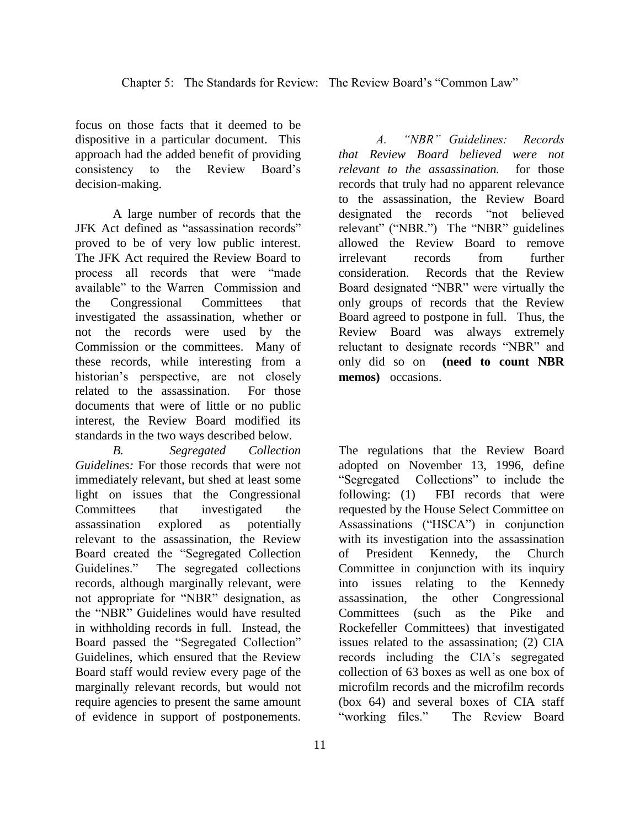focus on those facts that it deemed to be dispositive in a particular document. This approach had the added benefit of providing consistency to the Review Board's decision-making.

A large number of records that the JFK Act defined as "assassination records" proved to be of very low public interest. The JFK Act required the Review Board to process all records that were "made available" to the Warren Commission and the Congressional Committees that investigated the assassination, whether or not the records were used by the Commission or the committees. Many of these records, while interesting from a historian's perspective, are not closely related to the assassination. For those documents that were of little or no public interest, the Review Board modified its standards in the two ways described below.

*B. Segregated Collection Guidelines:* For those records that were not immediately relevant, but shed at least some light on issues that the Congressional Committees that investigated the assassination explored as potentially relevant to the assassination, the Review Board created the "Segregated Collection Guidelines." The segregated collections records, although marginally relevant, were not appropriate for "NBR" designation, as the "NBR" Guidelines would have resulted in withholding records in full. Instead, the Board passed the "Segregated Collection" Guidelines, which ensured that the Review Board staff would review every page of the marginally relevant records, but would not require agencies to present the same amount of evidence in support of postponements.

11

*A. "NBR" Guidelines: Records that Review Board believed were not relevant to the assassination.* for those records that truly had no apparent relevance to the assassination, the Review Board designated the records "not believed relevant" ("NBR.") The "NBR" guidelines allowed the Review Board to remove irrelevant records from further consideration. Records that the Review Board designated "NBR" were virtually the only groups of records that the Review Board agreed to postpone in full. Thus, the Review Board was always extremely reluctant to designate records "NBR" and only did so on **(need to count NBR memos)** occasions.

The regulations that the Review Board adopted on November 13, 1996, define "Segregated Collections" to include the following: (1) FBI records that were requested by the House Select Committee on Assassinations ("HSCA") in conjunction with its investigation into the assassination of President Kennedy, the Church Committee in conjunction with its inquiry into issues relating to the Kennedy assassination, the other Congressional Committees (such as the Pike and Rockefeller Committees) that investigated issues related to the assassination; (2) CIA records including the CIA's segregated collection of 63 boxes as well as one box of microfilm records and the microfilm records (box 64) and several boxes of CIA staff "working files." The Review Board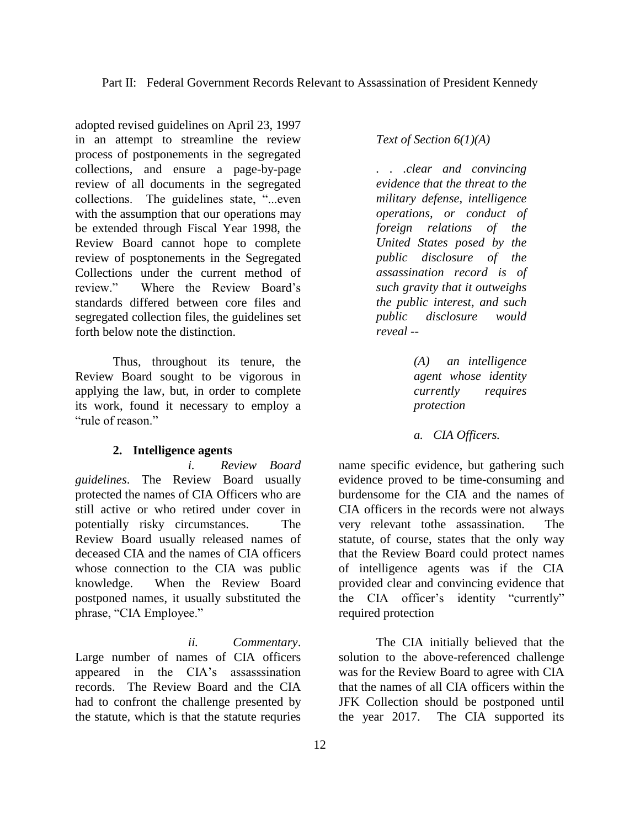adopted revised guidelines on April 23, 1997 in an attempt to streamline the review process of postponements in the segregated collections, and ensure a page-by-page review of all documents in the segregated collections. The guidelines state, "...even with the assumption that our operations may be extended through Fiscal Year 1998, the Review Board cannot hope to complete review of posptonements in the Segregated Collections under the current method of review." Where the Review Board's standards differed between core files and segregated collection files, the guidelines set forth below note the distinction.

Thus, throughout its tenure, the Review Board sought to be vigorous in applying the law, but, in order to complete its work, found it necessary to employ a "rule of reason"

### **2. Intelligence agents**

*i. Review Board guidelines*. The Review Board usually protected the names of CIA Officers who are still active or who retired under cover in potentially risky circumstances. The Review Board usually released names of deceased CIA and the names of CIA officers whose connection to the CIA was public knowledge. When the Review Board postponed names, it usually substituted the phrase, "CIA Employee."

*ii. Commentary*. Large number of names of CIA officers appeared in the CIA's assasssination records. The Review Board and the CIA had to confront the challenge presented by the statute, which is that the statute requries

*Text of Section 6(1)(A)*

*. . .clear and convincing evidence that the threat to the military defense, intelligence operations, or conduct of foreign relations of the United States posed by the public disclosure of the assassination record is of such gravity that it outweighs the public interest, and such public disclosure would reveal --*

> *(A) an intelligence agent whose identity currently requires protection*

*a. CIA Officers.*

name specific evidence, but gathering such evidence proved to be time-consuming and burdensome for the CIA and the names of CIA officers in the records were not always very relevant tothe assassination. The statute, of course, states that the only way that the Review Board could protect names of intelligence agents was if the CIA provided clear and convincing evidence that the CIA officer's identity "currently" required protection

The CIA initially believed that the solution to the above-referenced challenge was for the Review Board to agree with CIA that the names of all CIA officers within the JFK Collection should be postponed until the year 2017. The CIA supported its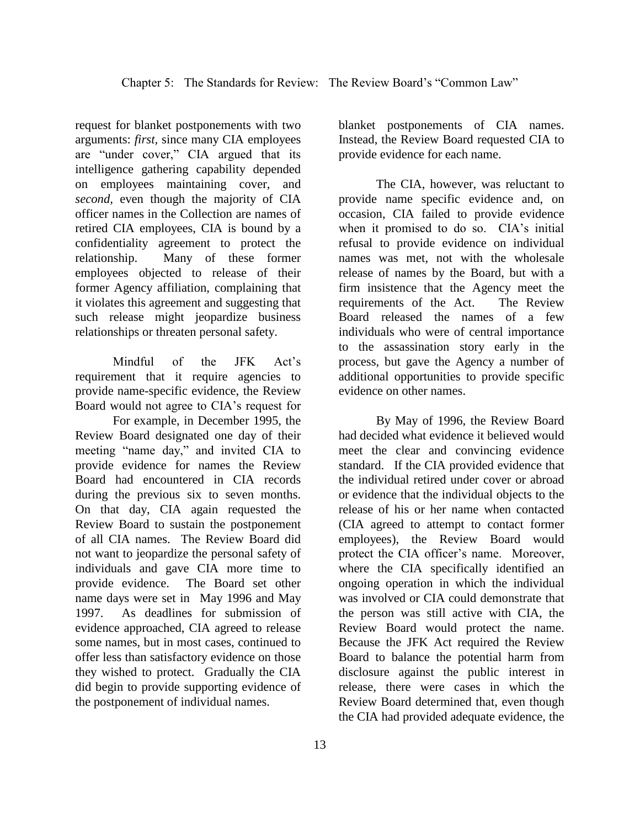request for blanket postponements with two arguments: *first,* since many CIA employees are "under cover," CIA argued that its intelligence gathering capability depended on employees maintaining cover, and *second,* even though the majority of CIA officer names in the Collection are names of retired CIA employees, CIA is bound by a confidentiality agreement to protect the relationship. Many of these former employees objected to release of their former Agency affiliation, complaining that it violates this agreement and suggesting that such release might jeopardize business relationships or threaten personal safety.

Mindful of the JFK Act's requirement that it require agencies to provide name-specific evidence, the Review Board would not agree to CIA's request for

For example, in December 1995, the Review Board designated one day of their meeting "name day," and invited CIA to provide evidence for names the Review Board had encountered in CIA records during the previous six to seven months. On that day, CIA again requested the Review Board to sustain the postponement of all CIA names. The Review Board did not want to jeopardize the personal safety of individuals and gave CIA more time to provide evidence. The Board set other name days were set in May 1996 and May 1997. As deadlines for submission of evidence approached, CIA agreed to release some names, but in most cases, continued to offer less than satisfactory evidence on those they wished to protect. Gradually the CIA did begin to provide supporting evidence of the postponement of individual names.

13

blanket postponements of CIA names. Instead, the Review Board requested CIA to provide evidence for each name.

The CIA, however, was reluctant to provide name specific evidence and, on occasion, CIA failed to provide evidence when it promised to do so. CIA's initial refusal to provide evidence on individual names was met, not with the wholesale release of names by the Board, but with a firm insistence that the Agency meet the requirements of the Act. The Review Board released the names of a few individuals who were of central importance to the assassination story early in the process, but gave the Agency a number of additional opportunities to provide specific evidence on other names.

By May of 1996, the Review Board had decided what evidence it believed would meet the clear and convincing evidence standard. If the CIA provided evidence that the individual retired under cover or abroad or evidence that the individual objects to the release of his or her name when contacted (CIA agreed to attempt to contact former employees), the Review Board would protect the CIA officer's name. Moreover, where the CIA specifically identified an ongoing operation in which the individual was involved or CIA could demonstrate that the person was still active with CIA, the Review Board would protect the name. Because the JFK Act required the Review Board to balance the potential harm from disclosure against the public interest in release, there were cases in which the Review Board determined that, even though the CIA had provided adequate evidence, the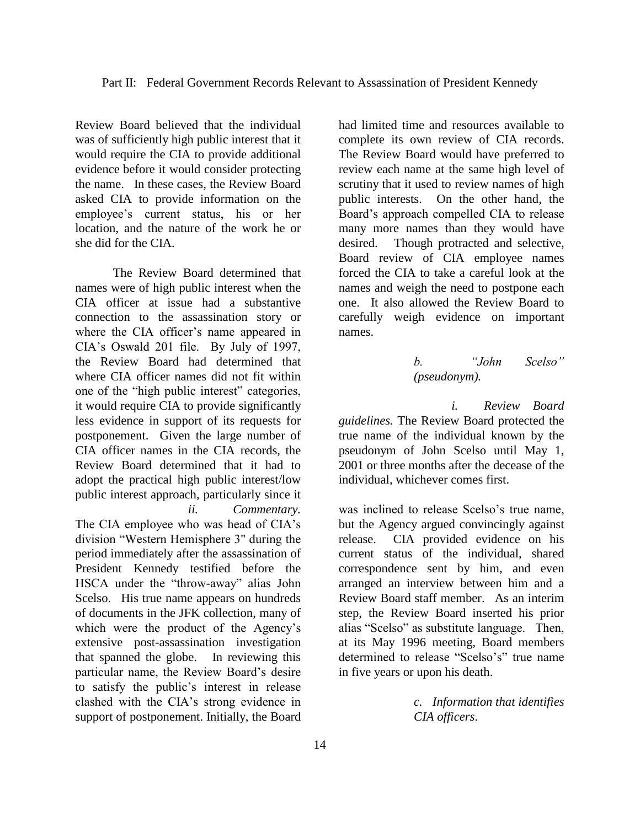Review Board believed that the individual was of sufficiently high public interest that it would require the CIA to provide additional evidence before it would consider protecting the name. In these cases, the Review Board asked CIA to provide information on the employee's current status, his or her location, and the nature of the work he or she did for the CIA.

The Review Board determined that names were of high public interest when the CIA officer at issue had a substantive connection to the assassination story or where the CIA officer's name appeared in CIA's Oswald 201 file. By July of 1997, the Review Board had determined that where CIA officer names did not fit within one of the "high public interest" categories, it would require CIA to provide significantly less evidence in support of its requests for postponement. Given the large number of CIA officer names in the CIA records, the Review Board determined that it had to adopt the practical high public interest/low public interest approach, particularly since it *ii. Commentary.* 

The CIA employee who was head of CIA's division "Western Hemisphere 3" during the period immediately after the assassination of President Kennedy testified before the HSCA under the "throw-away" alias John Scelso. His true name appears on hundreds of documents in the JFK collection, many of which were the product of the Agency's extensive post-assassination investigation that spanned the globe. In reviewing this particular name, the Review Board's desire to satisfy the public's interest in release clashed with the CIA's strong evidence in support of postponement. Initially, the Board

had limited time and resources available to complete its own review of CIA records. The Review Board would have preferred to review each name at the same high level of scrutiny that it used to review names of high public interests. On the other hand, the Board's approach compelled CIA to release many more names than they would have desired. Though protracted and selective, Board review of CIA employee names forced the CIA to take a careful look at the names and weigh the need to postpone each one. It also allowed the Review Board to carefully weigh evidence on important names.

## *b. "John Scelso" (pseudonym).*

*i. Review Board guidelines.* The Review Board protected the true name of the individual known by the pseudonym of John Scelso until May 1, 2001 or three months after the decease of the individual, whichever comes first.

was inclined to release Scelso's true name, but the Agency argued convincingly against release. CIA provided evidence on his current status of the individual, shared correspondence sent by him, and even arranged an interview between him and a Review Board staff member. As an interim step, the Review Board inserted his prior alias "Scelso" as substitute language. Then, at its May 1996 meeting, Board members determined to release "Scelso's" true name in five years or upon his death.

> *c. Information that identifies CIA officers*.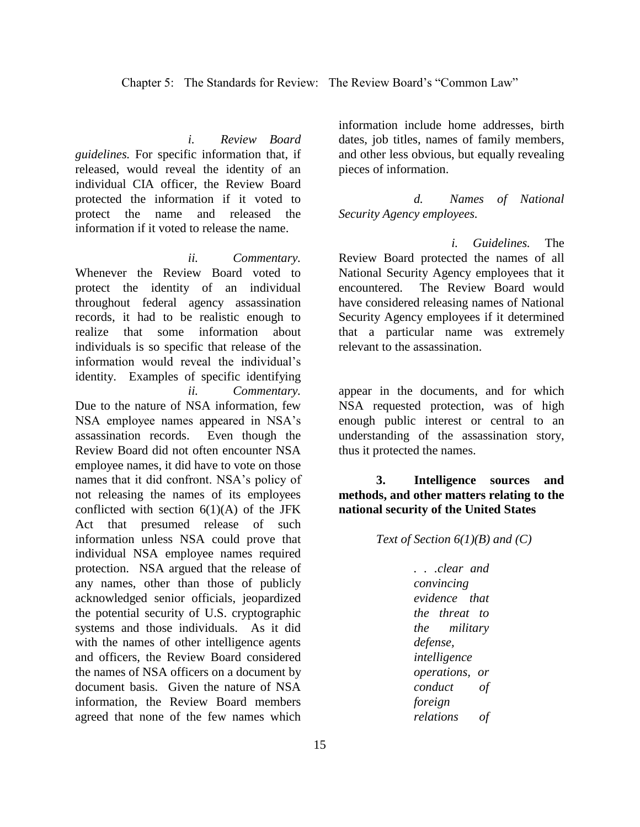*i. Review Board guidelines.* For specific information that, if released, would reveal the identity of an individual CIA officer, the Review Board protected the information if it voted to protect the name and released the information if it voted to release the name.

*ii. Commentary.*  Whenever the Review Board voted to protect the identity of an individual throughout federal agency assassination records, it had to be realistic enough to realize that some information about individuals is so specific that release of the information would reveal the individual's identity. Examples of specific identifying *ii. Commentary.*  Due to the nature of NSA information, few NSA employee names appeared in NSA's assassination records. Even though the Review Board did not often encounter NSA employee names, it did have to vote on those names that it did confront. NSA's policy of not releasing the names of its employees conflicted with section  $6(1)(A)$  of the JFK Act that presumed release of such information unless NSA could prove that individual NSA employee names required protection. NSA argued that the release of any names, other than those of publicly acknowledged senior officials, jeopardized the potential security of U.S. cryptographic systems and those individuals. As it did with the names of other intelligence agents and officers, the Review Board considered the names of NSA officers on a document by document basis. Given the nature of NSA information, the Review Board members agreed that none of the few names which

information include home addresses, birth dates, job titles, names of family members, and other less obvious, but equally revealing pieces of information.

*d. Names of National Security Agency employees.*

*i. Guidelines.* The Review Board protected the names of all National Security Agency employees that it encountered. The Review Board would have considered releasing names of National Security Agency employees if it determined that a particular name was extremely relevant to the assassination.

appear in the documents, and for which NSA requested protection, was of high enough public interest or central to an understanding of the assassination story, thus it protected the names.

**3. Intelligence sources and methods, and other matters relating to the national security of the United States**

*Text of Section 6(1)(B) and (C)*

*. . .clear and convincing evidence that the threat to the military defense, intelligence operations, or conduct of foreign relations of*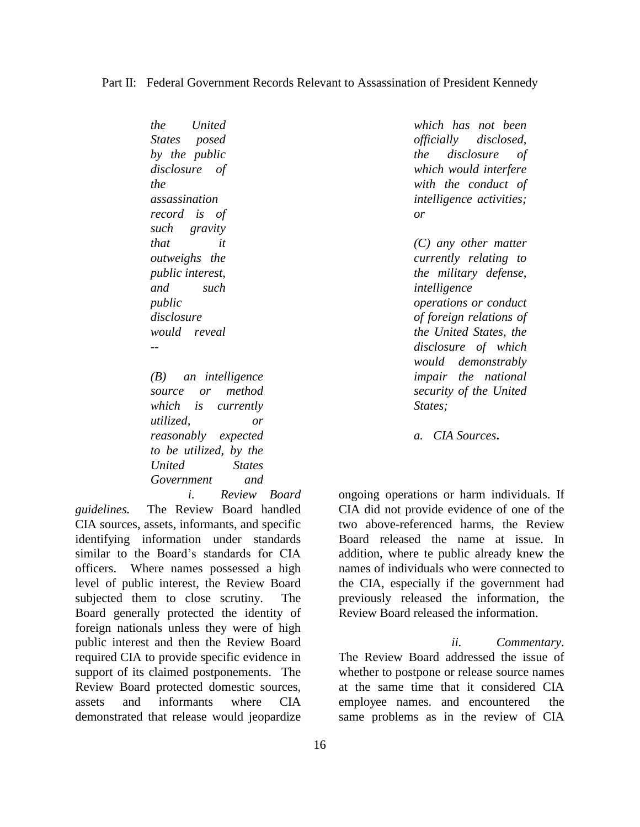### Part II: Federal Government Records Relevant to Assassination of President Kennedy

*the United States posed by the public disclosure of the assassination record is of such gravity that it outweighs the public interest, and such public disclosure would reveal -- (B) an intelligence source or method which is currently utilized, or* 

*reasonably expected to be utilized, by the United States Government and* 

*i. Review Board guidelines.* The Review Board handled CIA sources, assets, informants, and specific identifying information under standards similar to the Board's standards for CIA officers. Where names possessed a high level of public interest, the Review Board subjected them to close scrutiny. The Board generally protected the identity of foreign nationals unless they were of high public interest and then the Review Board required CIA to provide specific evidence in support of its claimed postponements. The Review Board protected domestic sources, assets and informants where CIA demonstrated that release would jeopardize

*which has not been officially disclosed, the disclosure of which would interfere with the conduct of intelligence activities; or*

*(C) any other matter currently relating to the military defense, intelligence operations or conduct of foreign relations of the United States, the disclosure of which would demonstrably impair the national security of the United States;*

*a. CIA Sources***.**

ongoing operations or harm individuals. If CIA did not provide evidence of one of the two above-referenced harms, the Review Board released the name at issue. In addition, where te public already knew the names of individuals who were connected to the CIA, especially if the government had previously released the information, the Review Board released the information.

*ii. Commentary*. The Review Board addressed the issue of whether to postpone or release source names at the same time that it considered CIA employee names. and encountered the same problems as in the review of CIA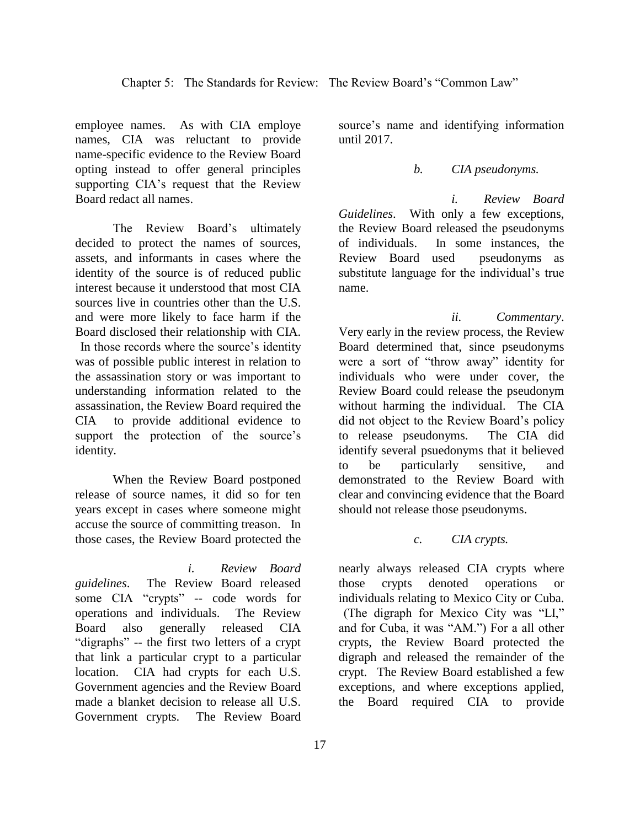employee names. As with CIA employe names, CIA was reluctant to provide name-specific evidence to the Review Board opting instead to offer general principles supporting CIA's request that the Review Board redact all names.

The Review Board's ultimately decided to protect the names of sources, assets, and informants in cases where the identity of the source is of reduced public interest because it understood that most CIA sources live in countries other than the U.S. and were more likely to face harm if the Board disclosed their relationship with CIA. In those records where the source's identity was of possible public interest in relation to the assassination story or was important to understanding information related to the assassination, the Review Board required the CIA to provide additional evidence to support the protection of the source's identity.

When the Review Board postponed release of source names, it did so for ten years except in cases where someone might accuse the source of committing treason. In those cases, the Review Board protected the

*i. Review Board guidelines*. The Review Board released some CIA "crypts" -- code words for operations and individuals. The Review Board also generally released CIA "digraphs" -- the first two letters of a crypt that link a particular crypt to a particular location. CIA had crypts for each U.S. Government agencies and the Review Board made a blanket decision to release all U.S. Government crypts. The Review Board

source's name and identifying information

until 2017.

*b. CIA pseudonyms.*

*i. Review Board Guidelines*. With only a few exceptions, the Review Board released the pseudonyms of individuals. In some instances, the Review Board used pseudonyms as substitute language for the individual's true name.

*ii. Commentary*. Very early in the review process, the Review Board determined that, since pseudonyms were a sort of "throw away" identity for individuals who were under cover, the Review Board could release the pseudonym without harming the individual. The CIA did not object to the Review Board's policy to release pseudonyms. The CIA did identify several psuedonyms that it believed to be particularly sensitive, and demonstrated to the Review Board with clear and convincing evidence that the Board should not release those pseudonyms.

*c. CIA crypts.*

nearly always released CIA crypts where those crypts denoted operations or individuals relating to Mexico City or Cuba. (The digraph for Mexico City was "LI," and for Cuba, it was "AM.") For a all other crypts, the Review Board protected the digraph and released the remainder of the crypt. The Review Board established a few exceptions, and where exceptions applied, the Board required CIA to provide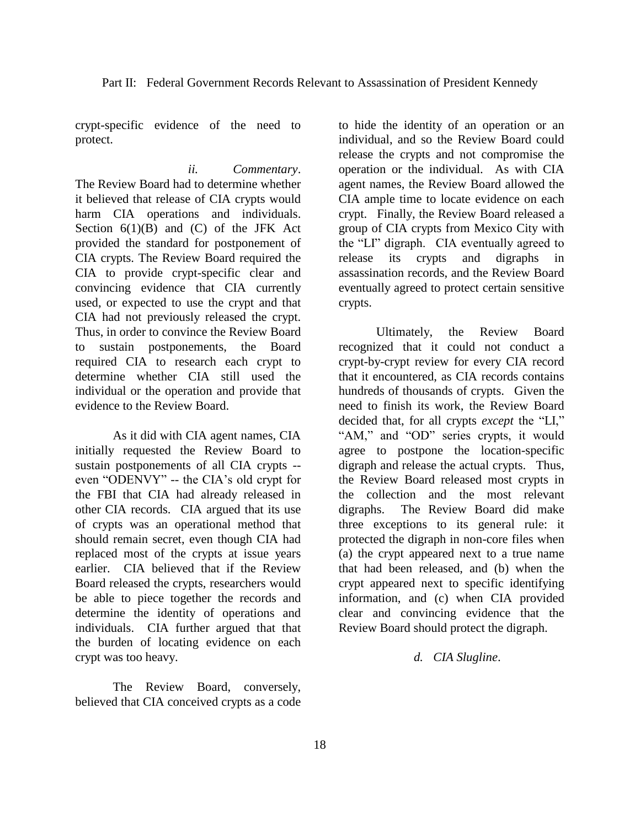crypt-specific evidence of the need to protect.

*ii. Commentary*. The Review Board had to determine whether it believed that release of CIA crypts would harm CIA operations and individuals. Section  $6(1)(B)$  and  $(C)$  of the JFK Act provided the standard for postponement of CIA crypts. The Review Board required the CIA to provide crypt-specific clear and convincing evidence that CIA currently used, or expected to use the crypt and that CIA had not previously released the crypt. Thus, in order to convince the Review Board to sustain postponements, the Board required CIA to research each crypt to determine whether CIA still used the individual or the operation and provide that evidence to the Review Board.

As it did with CIA agent names, CIA initially requested the Review Board to sustain postponements of all CIA crypts - even "ODENVY" -- the CIA's old crypt for the FBI that CIA had already released in other CIA records. CIA argued that its use of crypts was an operational method that should remain secret, even though CIA had replaced most of the crypts at issue years earlier. CIA believed that if the Review Board released the crypts, researchers would be able to piece together the records and determine the identity of operations and individuals. CIA further argued that that the burden of locating evidence on each crypt was too heavy.

The Review Board, conversely, believed that CIA conceived crypts as a code to hide the identity of an operation or an individual, and so the Review Board could release the crypts and not compromise the operation or the individual. As with CIA agent names, the Review Board allowed the CIA ample time to locate evidence on each crypt. Finally, the Review Board released a group of CIA crypts from Mexico City with the "LI" digraph. CIA eventually agreed to release its crypts and digraphs in assassination records, and the Review Board eventually agreed to protect certain sensitive crypts.

Ultimately, the Review Board recognized that it could not conduct a crypt-by-crypt review for every CIA record that it encountered, as CIA records contains hundreds of thousands of crypts. Given the need to finish its work, the Review Board decided that, for all crypts *except* the "LI," "AM," and "OD" series crypts, it would agree to postpone the location-specific digraph and release the actual crypts. Thus, the Review Board released most crypts in the collection and the most relevant digraphs. The Review Board did make three exceptions to its general rule: it protected the digraph in non-core files when (a) the crypt appeared next to a true name that had been released, and (b) when the crypt appeared next to specific identifying information, and (c) when CIA provided clear and convincing evidence that the Review Board should protect the digraph.

*d. CIA Slugline*.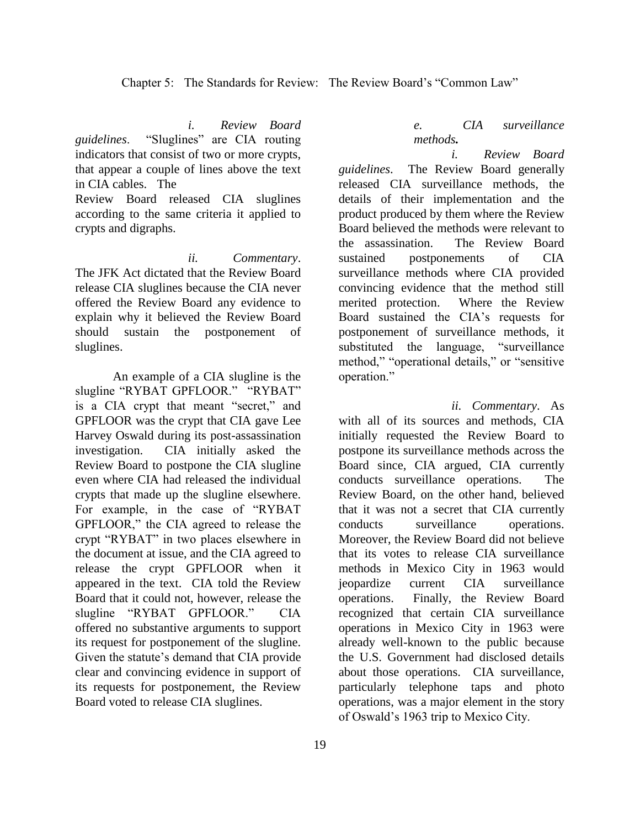### Chapter 5: The Standards for Review: The Review Board's "Common Law"

*i. Review Board* 

*guidelines*. "Sluglines" are CIA routing indicators that consist of two or more crypts, that appear a couple of lines above the text in CIA cables. The

Review Board released CIA sluglines according to the same criteria it applied to crypts and digraphs.

*ii. Commentary*. The JFK Act dictated that the Review Board release CIA sluglines because the CIA never offered the Review Board any evidence to explain why it believed the Review Board should sustain the postponement of sluglines.

An example of a CIA slugline is the slugline "RYBAT GPFLOOR." "RYBAT" is a CIA crypt that meant "secret," and GPFLOOR was the crypt that CIA gave Lee Harvey Oswald during its post-assassination investigation. CIA initially asked the Review Board to postpone the CIA slugline even where CIA had released the individual crypts that made up the slugline elsewhere. For example, in the case of "RYBAT GPFLOOR," the CIA agreed to release the crypt "RYBAT" in two places elsewhere in the document at issue, and the CIA agreed to release the crypt GPFLOOR when it appeared in the text. CIA told the Review Board that it could not, however, release the slugline "RYBAT GPFLOOR." CIA offered no substantive arguments to support its request for postponement of the slugline. Given the statute's demand that CIA provide clear and convincing evidence in support of its requests for postponement, the Review Board voted to release CIA sluglines.

## *e. CIA surveillance methods.*

*i. Review Board guidelines*. The Review Board generally released CIA surveillance methods, the details of their implementation and the product produced by them where the Review Board believed the methods were relevant to the assassination. The Review Board sustained postponements of CIA surveillance methods where CIA provided convincing evidence that the method still merited protection. Where the Review Board sustained the CIA's requests for postponement of surveillance methods, it substituted the language, "surveillance method," "operational details," or "sensitive operation."

*ii. Commentary*. As with all of its sources and methods, CIA initially requested the Review Board to postpone its surveillance methods across the Board since, CIA argued, CIA currently conducts surveillance operations. The Review Board, on the other hand, believed that it was not a secret that CIA currently conducts surveillance operations. Moreover, the Review Board did not believe that its votes to release CIA surveillance methods in Mexico City in 1963 would jeopardize current CIA surveillance operations. Finally, the Review Board recognized that certain CIA surveillance operations in Mexico City in 1963 were already well-known to the public because the U.S. Government had disclosed details about those operations. CIA surveillance, particularly telephone taps and photo operations, was a major element in the story of Oswald's 1963 trip to Mexico City.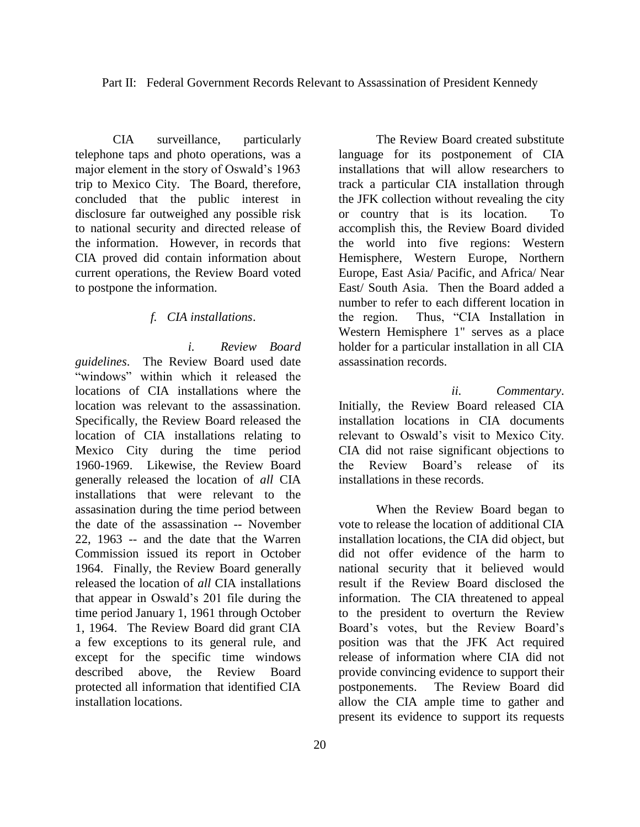Part II: Federal Government Records Relevant to Assassination of President Kennedy

CIA surveillance, particularly telephone taps and photo operations, was a major element in the story of Oswald's 1963 trip to Mexico City. The Board, therefore, concluded that the public interest in disclosure far outweighed any possible risk to national security and directed release of the information. However, in records that CIA proved did contain information about current operations, the Review Board voted to postpone the information.

### *f. CIA installations*.

*i. Review Board guidelines*. The Review Board used date "windows" within which it released the locations of CIA installations where the location was relevant to the assassination. Specifically, the Review Board released the location of CIA installations relating to Mexico City during the time period 1960-1969. Likewise, the Review Board generally released the location of *all* CIA installations that were relevant to the assasination during the time period between the date of the assassination -- November 22, 1963 -- and the date that the Warren Commission issued its report in October 1964. Finally, the Review Board generally released the location of *all* CIA installations that appear in Oswald's 201 file during the time period January 1, 1961 through October 1, 1964. The Review Board did grant CIA a few exceptions to its general rule, and except for the specific time windows described above, the Review Board protected all information that identified CIA installation locations.

language for its postponement of CIA installations that will allow researchers to track a particular CIA installation through the JFK collection without revealing the city or country that is its location. To accomplish this, the Review Board divided the world into five regions: Western Hemisphere, Western Europe, Northern Europe, East Asia/ Pacific, and Africa/ Near East/ South Asia. Then the Board added a number to refer to each different location in the region. Thus, "CIA Installation in Western Hemisphere 1" serves as a place holder for a particular installation in all CIA assassination records.

The Review Board created substitute

*ii. Commentary*. Initially, the Review Board released CIA installation locations in CIA documents relevant to Oswald's visit to Mexico City. CIA did not raise significant objections to the Review Board's release of its installations in these records.

When the Review Board began to vote to release the location of additional CIA installation locations, the CIA did object, but did not offer evidence of the harm to national security that it believed would result if the Review Board disclosed the information. The CIA threatened to appeal to the president to overturn the Review Board's votes, but the Review Board's position was that the JFK Act required release of information where CIA did not provide convincing evidence to support their postponements. The Review Board did allow the CIA ample time to gather and present its evidence to support its requests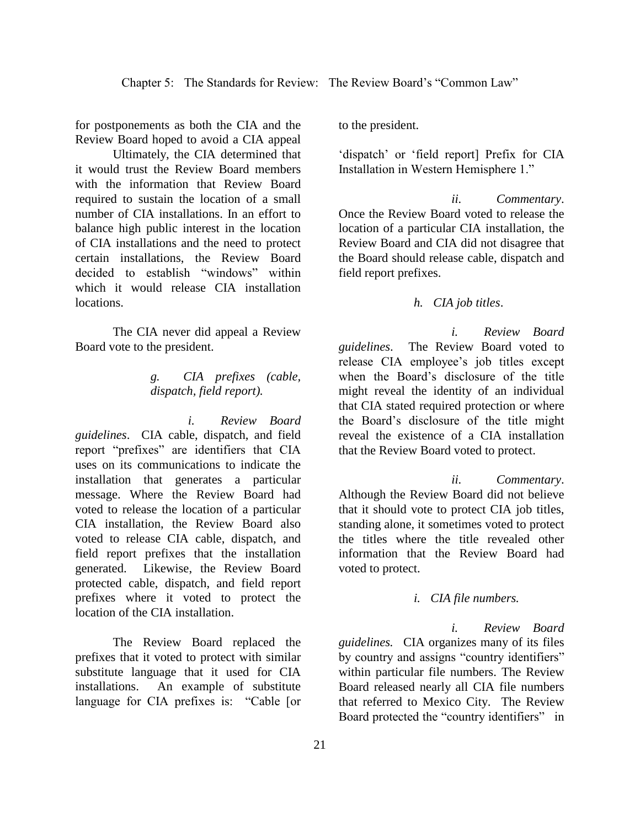for postponements as both the CIA and the Review Board hoped to avoid a CIA appeal

Ultimately, the CIA determined that it would trust the Review Board members with the information that Review Board required to sustain the location of a small number of CIA installations. In an effort to balance high public interest in the location of CIA installations and the need to protect certain installations, the Review Board decided to establish "windows" within which it would release CIA installation locations.

The CIA never did appeal a Review Board vote to the president.

## *g. CIA prefixes (cable, dispatch, field report).*

*i. Review Board guidelines*. CIA cable, dispatch, and field report "prefixes" are identifiers that CIA uses on its communications to indicate the installation that generates a particular message. Where the Review Board had voted to release the location of a particular CIA installation, the Review Board also voted to release CIA cable, dispatch, and field report prefixes that the installation generated. Likewise, the Review Board protected cable, dispatch, and field report prefixes where it voted to protect the location of the CIA installation.

The Review Board replaced the prefixes that it voted to protect with similar substitute language that it used for CIA installations. An example of substitute language for CIA prefixes is: "Cable [or to the president.

'dispatch' or 'field report] Prefix for CIA Installation in Western Hemisphere 1."

*ii. Commentary*. Once the Review Board voted to release the location of a particular CIA installation, the Review Board and CIA did not disagree that the Board should release cable, dispatch and field report prefixes.

## *h. CIA job titles*.

*i. Review Board guidelines*. The Review Board voted to release CIA employee's job titles except when the Board's disclosure of the title might reveal the identity of an individual that CIA stated required protection or where the Board's disclosure of the title might reveal the existence of a CIA installation that the Review Board voted to protect.

*ii. Commentary*. Although the Review Board did not believe that it should vote to protect CIA job titles, standing alone, it sometimes voted to protect the titles where the title revealed other information that the Review Board had voted to protect.

### *i. CIA file numbers.*

*i. Review Board guidelines.* CIA organizes many of its files by country and assigns "country identifiers" within particular file numbers. The Review Board released nearly all CIA file numbers that referred to Mexico City. The Review Board protected the "country identifiers" in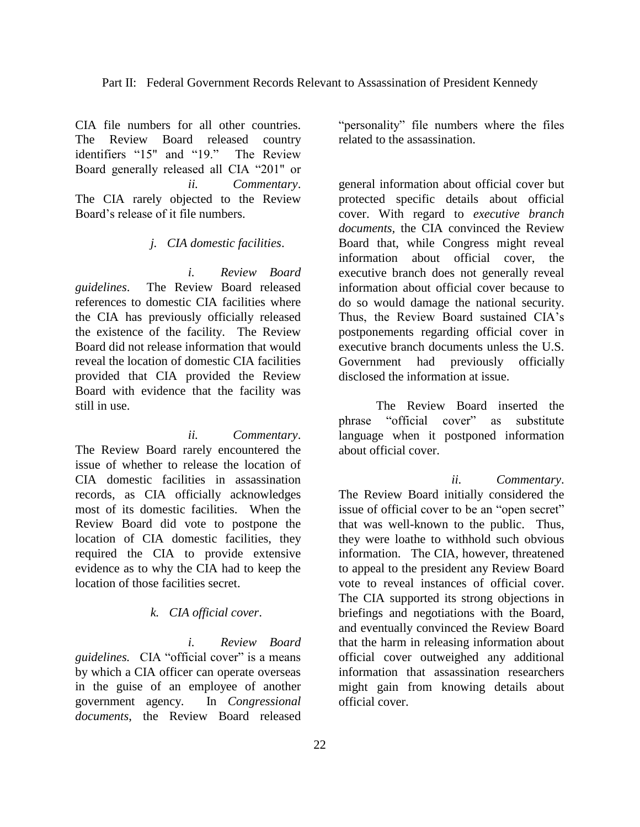CIA file numbers for all other countries. The Review Board released country identifiers "15" and "19." The Review Board generally released all CIA "201" or *ii. Commentary*. The CIA rarely objected to the Review Board's release of it file numbers.

### *j. CIA domestic facilities*.

*i. Review Board guidelines*. The Review Board released references to domestic CIA facilities where the CIA has previously officially released the existence of the facility. The Review Board did not release information that would reveal the location of domestic CIA facilities provided that CIA provided the Review Board with evidence that the facility was still in use.

*ii. Commentary*. The Review Board rarely encountered the issue of whether to release the location of CIA domestic facilities in assassination records, as CIA officially acknowledges most of its domestic facilities. When the Review Board did vote to postpone the location of CIA domestic facilities, they required the CIA to provide extensive evidence as to why the CIA had to keep the location of those facilities secret.

#### *k. CIA official cover*.

*i. Review Board guidelines.* CIA "official cover" is a means by which a CIA officer can operate overseas in the guise of an employee of another government agency. In *Congressional documents*, the Review Board released

"personality" file numbers where the files related to the assassination.

general information about official cover but protected specific details about official cover. With regard to *executive branch documents,* the CIA convinced the Review Board that, while Congress might reveal information about official cover, the executive branch does not generally reveal information about official cover because to do so would damage the national security. Thus, the Review Board sustained CIA's postponements regarding official cover in executive branch documents unless the U.S. Government had previously officially disclosed the information at issue.

The Review Board inserted the phrase "official cover" as substitute language when it postponed information about official cover.

*ii. Commentary*. The Review Board initially considered the issue of official cover to be an "open secret" that was well-known to the public. Thus, they were loathe to withhold such obvious information. The CIA, however, threatened to appeal to the president any Review Board vote to reveal instances of official cover. The CIA supported its strong objections in briefings and negotiations with the Board, and eventually convinced the Review Board that the harm in releasing information about official cover outweighed any additional information that assassination researchers might gain from knowing details about official cover.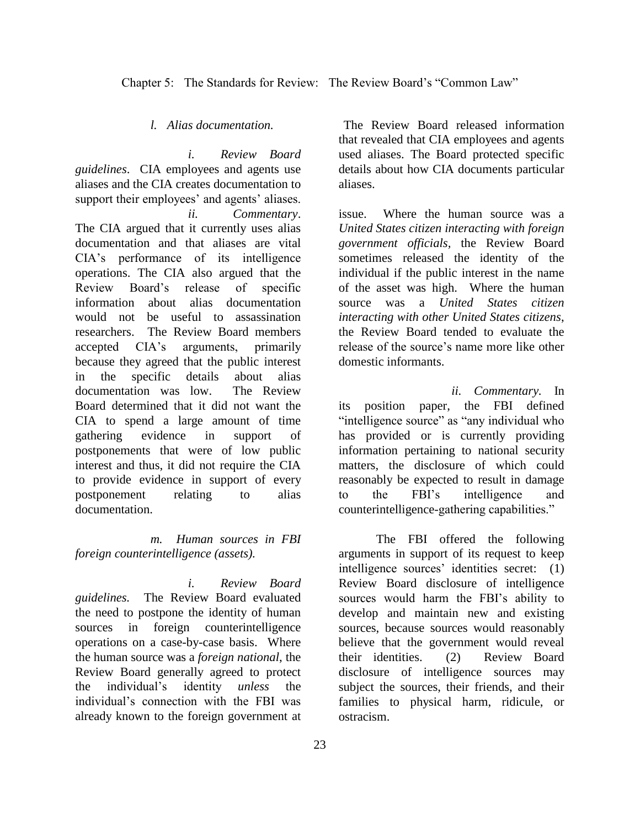Chapter 5: The Standards for Review: The Review Board's "Common Law"

*l. Alias documentation.*

*i. Review Board guidelines*. CIA employees and agents use aliases and the CIA creates documentation to support their employees' and agents' aliases. *ii. Commentary*. The CIA argued that it currently uses alias documentation and that aliases are vital CIA's performance of its intelligence operations. The CIA also argued that the Review Board's release of specific information about alias documentation would not be useful to assassination researchers. The Review Board members accepted CIA's arguments, primarily because they agreed that the public interest in the specific details about alias documentation was low. The Review Board determined that it did not want the CIA to spend a large amount of time gathering evidence in support of postponements that were of low public interest and thus, it did not require the CIA to provide evidence in support of every postponement relating to alias documentation.

*m. Human sources in FBI foreign counterintelligence (assets).*

*i. Review Board guidelines.* The Review Board evaluated the need to postpone the identity of human sources in foreign counterintelligence operations on a case-by-case basis. Where the human source was a *foreign national*, the Review Board generally agreed to protect the individual's identity *unless* the individual's connection with the FBI was already known to the foreign government at

The Review Board released information that revealed that CIA employees and agents used aliases. The Board protected specific details about how CIA documents particular aliases.

issue. Where the human source was a *United States citizen interacting with foreign government officials,* the Review Board sometimes released the identity of the individual if the public interest in the name of the asset was high. Where the human source was a *United States citizen interacting with other United States citizens*, the Review Board tended to evaluate the release of the source's name more like other domestic informants.

*ii. Commentary.* In its position paper, the FBI defined "intelligence source" as "any individual who has provided or is currently providing information pertaining to national security matters, the disclosure of which could reasonably be expected to result in damage to the FBI's intelligence and counterintelligence-gathering capabilities."

The FBI offered the following arguments in support of its request to keep intelligence sources' identities secret: (1) Review Board disclosure of intelligence sources would harm the FBI's ability to develop and maintain new and existing sources, because sources would reasonably believe that the government would reveal their identities. (2) Review Board disclosure of intelligence sources may subject the sources, their friends, and their families to physical harm, ridicule, or ostracism.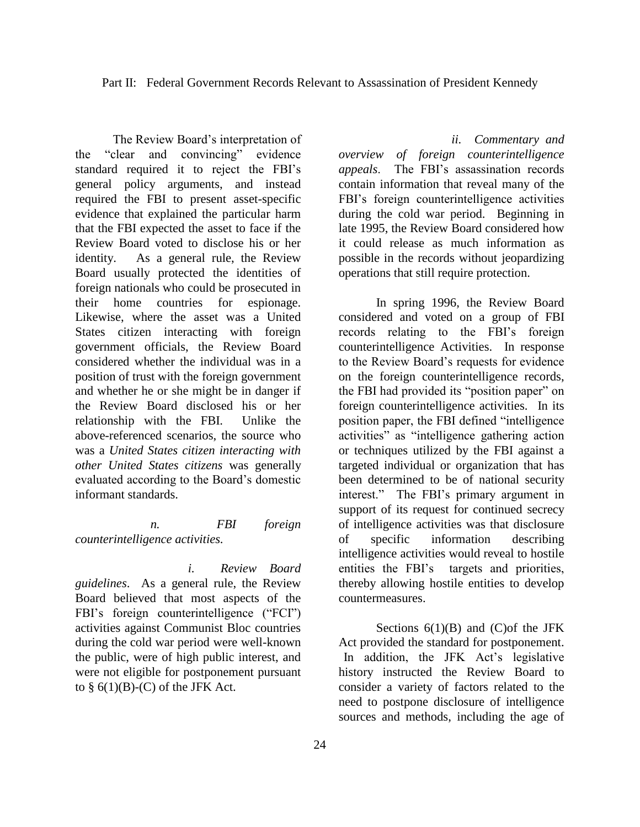The Review Board's interpretation of the "clear and convincing" evidence standard required it to reject the FBI's general policy arguments, and instead required the FBI to present asset-specific evidence that explained the particular harm that the FBI expected the asset to face if the Review Board voted to disclose his or her identity. As a general rule, the Review Board usually protected the identities of foreign nationals who could be prosecuted in their home countries for espionage. Likewise, where the asset was a United States citizen interacting with foreign government officials, the Review Board considered whether the individual was in a position of trust with the foreign government and whether he or she might be in danger if the Review Board disclosed his or her relationship with the FBI. Unlike the above-referenced scenarios, the source who was a *United States citizen interacting with other United States citizens* was generally evaluated according to the Board's domestic informant standards.

## *n. FBI foreign counterintelligence activities.*

*i. Review Board guidelines*. As a general rule, the Review Board believed that most aspects of the FBI's foreign counterintelligence ("FCI") activities against Communist Bloc countries during the cold war period were well-known the public, were of high public interest, and were not eligible for postponement pursuant to  $\S$  6(1)(B)-(C) of the JFK Act.

*ii. Commentary and overview of foreign counterintelligence appeals*. The FBI's assassination records contain information that reveal many of the FBI's foreign counterintelligence activities during the cold war period. Beginning in late 1995, the Review Board considered how it could release as much information as possible in the records without jeopardizing operations that still require protection.

In spring 1996, the Review Board considered and voted on a group of FBI records relating to the FBI's foreign counterintelligence Activities. In response to the Review Board's requests for evidence on the foreign counterintelligence records, the FBI had provided its "position paper" on foreign counterintelligence activities. In its position paper, the FBI defined "intelligence activities" as "intelligence gathering action or techniques utilized by the FBI against a targeted individual or organization that has been determined to be of national security interest." The FBI's primary argument in support of its request for continued secrecy of intelligence activities was that disclosure of specific information describing intelligence activities would reveal to hostile entities the FBI's targets and priorities, thereby allowing hostile entities to develop countermeasures.

Sections  $6(1)(B)$  and  $(C)$ of the JFK Act provided the standard for postponement. In addition, the JFK Act's legislative history instructed the Review Board to consider a variety of factors related to the need to postpone disclosure of intelligence sources and methods, including the age of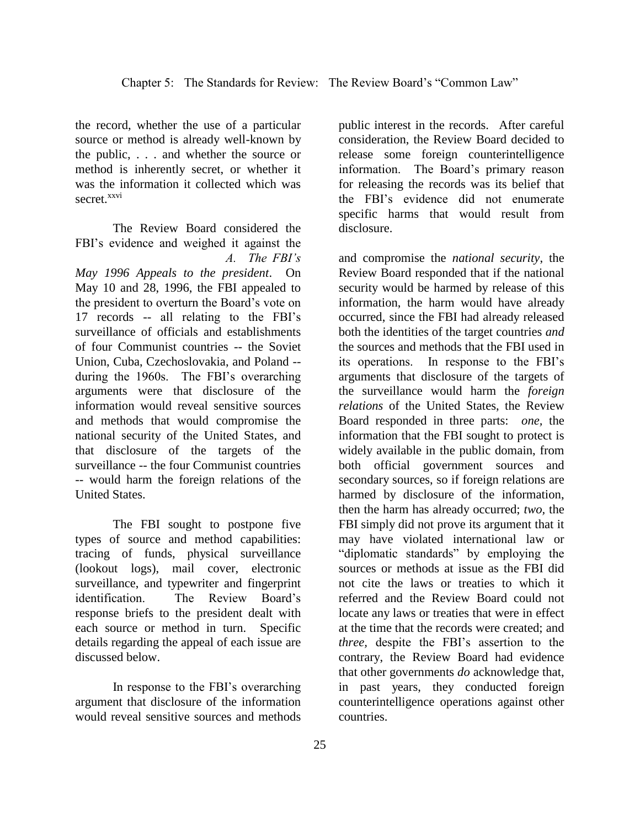the record, whether the use of a particular source or method is already well-known by the public, . . . and whether the source or method is inherently secret, or whether it was the information it collected which was secret.<sup>xxvi</sup>

The Review Board considered the FBI's evidence and weighed it against the *A. The FBI's* 

*May 1996 Appeals to the president*. On May 10 and 28, 1996, the FBI appealed to the president to overturn the Board's vote on 17 records -- all relating to the FBI's surveillance of officials and establishments of four Communist countries -- the Soviet Union, Cuba, Czechoslovakia, and Poland - during the 1960s. The FBI's overarching arguments were that disclosure of the information would reveal sensitive sources and methods that would compromise the national security of the United States, and that disclosure of the targets of the surveillance -- the four Communist countries -- would harm the foreign relations of the United States.

The FBI sought to postpone five types of source and method capabilities: tracing of funds, physical surveillance (lookout logs), mail cover, electronic surveillance, and typewriter and fingerprint identification. The Review Board's response briefs to the president dealt with each source or method in turn. Specific details regarding the appeal of each issue are discussed below.

In response to the FBI's overarching argument that disclosure of the information would reveal sensitive sources and methods

public interest in the records. After careful consideration, the Review Board decided to release some foreign counterintelligence information. The Board's primary reason for releasing the records was its belief that the FBI's evidence did not enumerate specific harms that would result from disclosure.

and compromise the *national security*, the Review Board responded that if the national security would be harmed by release of this information, the harm would have already occurred, since the FBI had already released both the identities of the target countries *and* the sources and methods that the FBI used in its operations. In response to the FBI's arguments that disclosure of the targets of the surveillance would harm the *foreign relations* of the United States, the Review Board responded in three parts: *one,* the information that the FBI sought to protect is widely available in the public domain, from both official government sources and secondary sources, so if foreign relations are harmed by disclosure of the information, then the harm has already occurred; *two,* the FBI simply did not prove its argument that it may have violated international law or "diplomatic standards" by employing the sources or methods at issue as the FBI did not cite the laws or treaties to which it referred and the Review Board could not locate any laws or treaties that were in effect at the time that the records were created; and *three,* despite the FBI's assertion to the contrary, the Review Board had evidence that other governments *do* acknowledge that, in past years, they conducted foreign counterintelligence operations against other countries.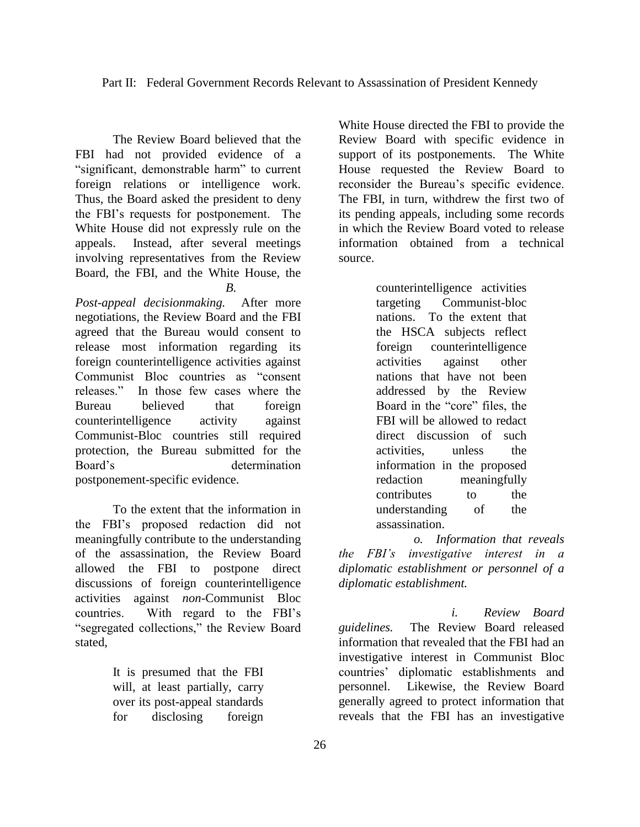The Review Board believed that the FBI had not provided evidence of a "significant, demonstrable harm" to current foreign relations or intelligence work. Thus, the Board asked the president to deny the FBI's requests for postponement. The White House did not expressly rule on the appeals. Instead, after several meetings involving representatives from the Review Board, the FBI, and the White House, the *B.* 

*Post-appeal decisionmaking.* After more negotiations, the Review Board and the FBI agreed that the Bureau would consent to release most information regarding its foreign counterintelligence activities against Communist Bloc countries as "consent releases." In those few cases where the Bureau believed that foreign counterintelligence activity against Communist-Bloc countries still required protection, the Bureau submitted for the Board's determination postponement-specific evidence.

To the extent that the information in the FBI's proposed redaction did not meaningfully contribute to the understanding of the assassination, the Review Board allowed the FBI to postpone direct discussions of foreign counterintelligence activities against *non*-Communist Bloc countries. With regard to the FBI's "segregated collections," the Review Board stated,

> It is presumed that the FBI will, at least partially, carry over its post-appeal standards for disclosing foreign

White House directed the FBI to provide the Review Board with specific evidence in support of its postponements. The White House requested the Review Board to reconsider the Bureau's specific evidence. The FBI, in turn, withdrew the first two of its pending appeals, including some records in which the Review Board voted to release information obtained from a technical source.

> counterintelligence activities targeting Communist-bloc nations. To the extent that the HSCA subjects reflect foreign counterintelligence activities against other nations that have not been addressed by the Review Board in the "core" files, the FBI will be allowed to redact direct discussion of such activities, unless the information in the proposed redaction meaningfully contributes to the understanding of the assassination.

*o. Information that reveals the FBI's investigative interest in a diplomatic establishment or personnel of a diplomatic establishment.*

*i. Review Board guidelines.* The Review Board released information that revealed that the FBI had an investigative interest in Communist Bloc countries' diplomatic establishments and personnel. Likewise, the Review Board generally agreed to protect information that reveals that the FBI has an investigative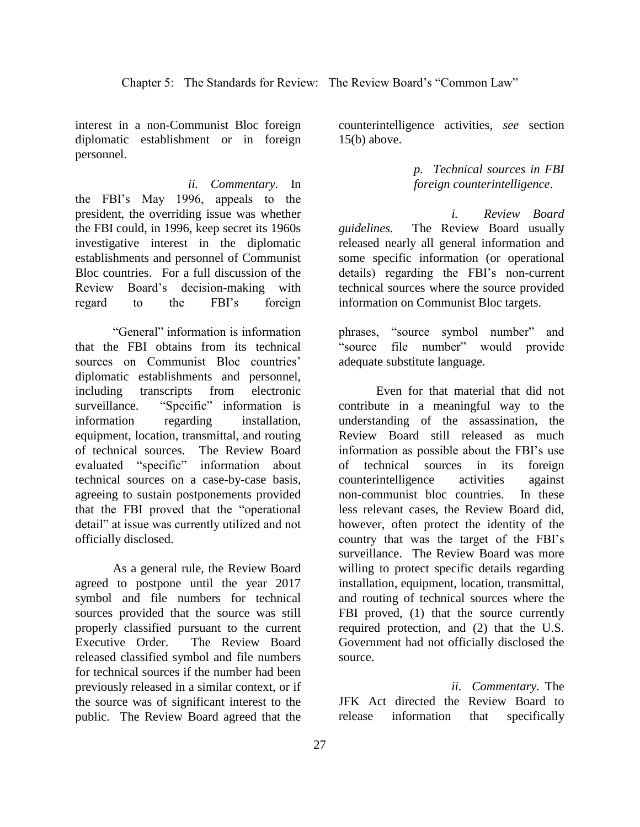interest in a non-Communist Bloc foreign diplomatic establishment or in foreign personnel.

*ii. Commentary.* In the FBI's May 1996, appeals to the president, the overriding issue was whether the FBI could, in 1996, keep secret its 1960s investigative interest in the diplomatic establishments and personnel of Communist Bloc countries. For a full discussion of the Review Board's decision-making with regard to the FBI's foreign

"General" information is information that the FBI obtains from its technical sources on Communist Bloc countries' diplomatic establishments and personnel, including transcripts from electronic surveillance."Specific" information is information regarding installation, equipment, location, transmittal, and routing of technical sources. The Review Board evaluated "specific" information about technical sources on a case-by-case basis, agreeing to sustain postponements provided that the FBI proved that the "operational detail" at issue was currently utilized and not officially disclosed.

As a general rule, the Review Board agreed to postpone until the year 2017 symbol and file numbers for technical sources provided that the source was still properly classified pursuant to the current Executive Order.The Review Board released classified symbol and file numbers for technical sources if the number had been previously released in a similar context, or if the source was of significant interest to the public. The Review Board agreed that the

counterintelligence activities, *see* section  $15(b)$  above.

## *p. Technical sources in FBI foreign counterintelligence*.

*i. Review Board guidelines.* The Review Board usually released nearly all general information and some specific information (or operational details) regarding the FBI's non-current technical sources where the source provided information on Communist Bloc targets.

phrases, "source symbol number" and "source file number" would provide adequate substitute language.

Even for that material that did not contribute in a meaningful way to the understanding of the assassination, the Review Board still released as much information as possible about the FBI's use of technical sources in its foreign counterintelligence activities against non-communist bloc countries. In these less relevant cases, the Review Board did, however, often protect the identity of the country that was the target of the FBI's surveillance. The Review Board was more willing to protect specific details regarding installation, equipment, location, transmittal, and routing of technical sources where the FBI proved, (1) that the source currently required protection, and (2) that the U.S. Government had not officially disclosed the source.

*ii. Commentary.* The JFK Act directed the Review Board to release information that specifically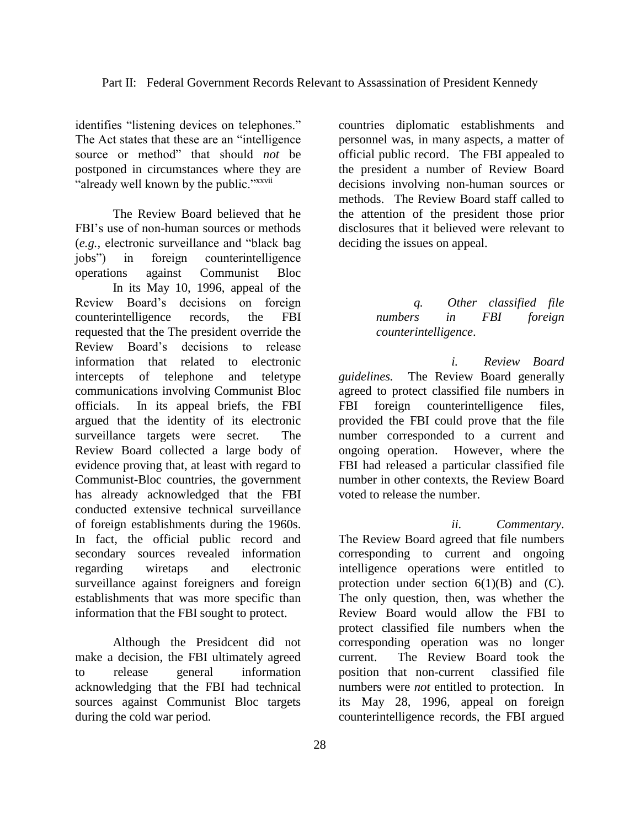identifies "listening devices on telephones." The Act states that these are an "intelligence source or method" that should *not* be postponed in circumstances where they are "already well known by the public."xxvii

The Review Board believed that he FBI's use of non-human sources or methods (*e.g.,* electronic surveillance and "black bag jobs") in foreign counterintelligence operations against Communist Bloc In its May 10, 1996, appeal of the Review Board's decisions on foreign counterintelligence records, the FBI requested that the The president override the Review Board's decisions to release information that related to electronic intercepts of telephone and teletype communications involving Communist Bloc officials. In its appeal briefs, the FBI argued that the identity of its electronic surveillance targets were secret. The Review Board collected a large body of evidence proving that, at least with regard to Communist-Bloc countries, the government has already acknowledged that the FBI conducted extensive technical surveillance of foreign establishments during the 1960s. In fact, the official public record and secondary sources revealed information regarding wiretaps and electronic surveillance against foreigners and foreign establishments that was more specific than information that the FBI sought to protect.

Although the Presidcent did not make a decision, the FBI ultimately agreed to release general information acknowledging that the FBI had technical sources against Communist Bloc targets during the cold war period.

countries diplomatic establishments and personnel was, in many aspects, a matter of official public record. The FBI appealed to the president a number of Review Board decisions involving non-human sources or methods. The Review Board staff called to the attention of the president those prior disclosures that it believed were relevant to deciding the issues on appeal.

## *q. Other classified file numbers in FBI foreign counterintelligence*.

*i. Review Board guidelines.* The Review Board generally agreed to protect classified file numbers in FBI foreign counterintelligence files, provided the FBI could prove that the file number corresponded to a current and ongoing operation. However, where the FBI had released a particular classified file number in other contexts, the Review Board voted to release the number.

*ii. Commentary*. The Review Board agreed that file numbers corresponding to current and ongoing intelligence operations were entitled to protection under section  $6(1)(B)$  and  $(C)$ . The only question, then, was whether the Review Board would allow the FBI to protect classified file numbers when the corresponding operation was no longer current. The Review Board took the position that non-current classified file numbers were *not* entitled to protection. In its May 28, 1996, appeal on foreign counterintelligence records, the FBI argued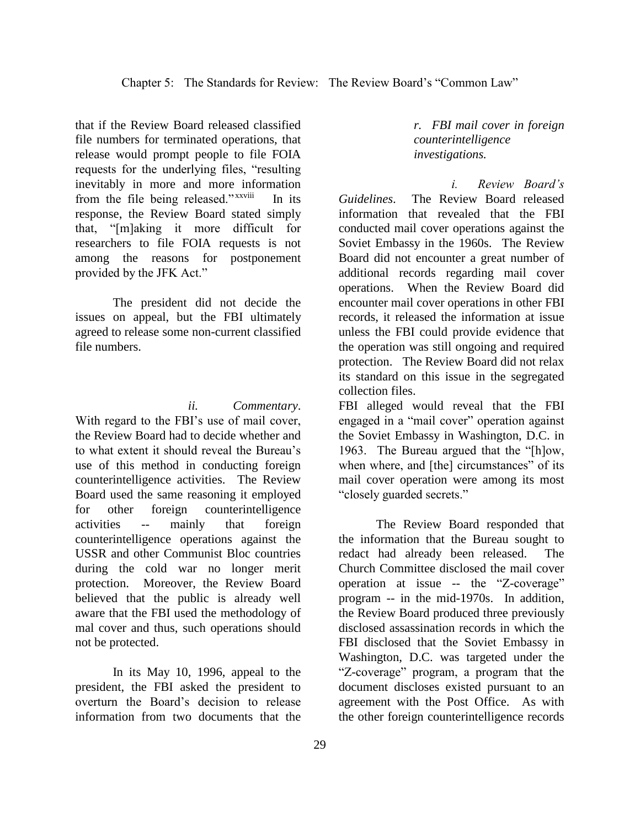that if the Review Board released classified file numbers for terminated operations, that release would prompt people to file FOIA requests for the underlying files, "resulting inevitably in more and more information from the file being released." xxviii In its response, the Review Board stated simply that, "[m]aking it more difficult for researchers to file FOIA requests is not among the reasons for postponement provided by the JFK Act."

The president did not decide the issues on appeal, but the FBI ultimately agreed to release some non-current classified file numbers.

*ii. Commentary*.

With regard to the FBI's use of mail cover, the Review Board had to decide whether and to what extent it should reveal the Bureau's use of this method in conducting foreign counterintelligence activities. The Review Board used the same reasoning it employed for other foreign counterintelligence activities -- mainly that foreign counterintelligence operations against the USSR and other Communist Bloc countries during the cold war no longer merit protection. Moreover, the Review Board believed that the public is already well aware that the FBI used the methodology of mal cover and thus, such operations should not be protected.

In its May 10, 1996, appeal to the president, the FBI asked the president to overturn the Board's decision to release information from two documents that the *r. FBI mail cover in foreign counterintelligence investigations.*

*i. Review Board's Guidelines*. The Review Board released information that revealed that the FBI conducted mail cover operations against the Soviet Embassy in the 1960s. The Review Board did not encounter a great number of additional records regarding mail cover operations. When the Review Board did encounter mail cover operations in other FBI records, it released the information at issue unless the FBI could provide evidence that the operation was still ongoing and required protection. The Review Board did not relax its standard on this issue in the segregated collection files.

FBI alleged would reveal that the FBI engaged in a "mail cover" operation against the Soviet Embassy in Washington, D.C. in 1963. The Bureau argued that the "[h]ow, when where, and [the] circumstances" of its mail cover operation were among its most "closely guarded secrets."

The Review Board responded that the information that the Bureau sought to redact had already been released. The Church Committee disclosed the mail cover operation at issue -- the "Z-coverage" program -- in the mid-1970s. In addition, the Review Board produced three previously disclosed assassination records in which the FBI disclosed that the Soviet Embassy in Washington, D.C. was targeted under the "Z-coverage" program, a program that the document discloses existed pursuant to an agreement with the Post Office. As with the other foreign counterintelligence records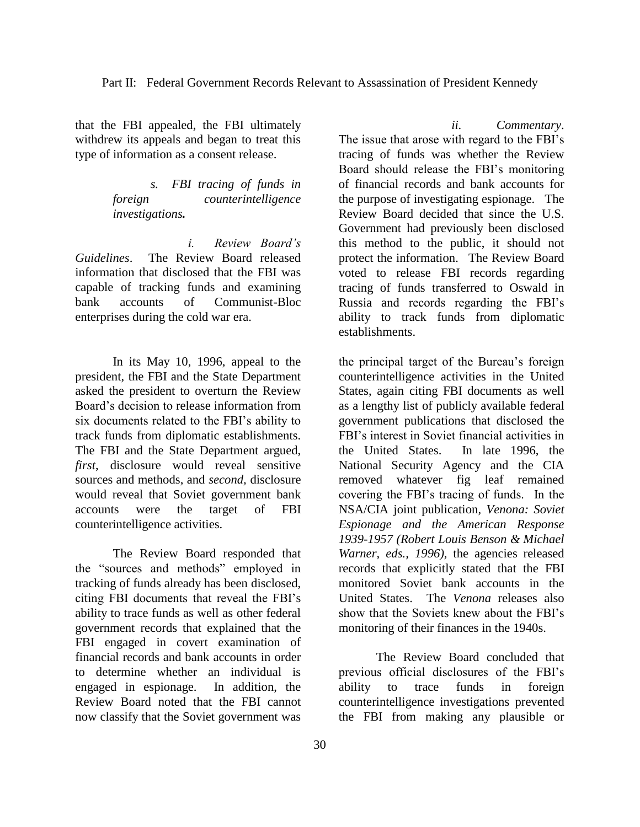that the FBI appealed, the FBI ultimately withdrew its appeals and began to treat this type of information as a consent release.

> *s. FBI tracing of funds in foreign counterintelligence investigations.*

*i. Review Board's Guidelines*. The Review Board released information that disclosed that the FBI was capable of tracking funds and examining bank accounts of Communist-Bloc enterprises during the cold war era.

In its May 10, 1996, appeal to the president, the FBI and the State Department asked the president to overturn the Review Board's decision to release information from six documents related to the FBI's ability to track funds from diplomatic establishments. The FBI and the State Department argued, *first*, disclosure would reveal sensitive sources and methods, and *second,* disclosure would reveal that Soviet government bank accounts were the target of FBI counterintelligence activities.

The Review Board responded that the "sources and methods" employed in tracking of funds already has been disclosed, citing FBI documents that reveal the FBI's ability to trace funds as well as other federal government records that explained that the FBI engaged in covert examination of financial records and bank accounts in order to determine whether an individual is engaged in espionage. In addition, the Review Board noted that the FBI cannot now classify that the Soviet government was

30

The issue that arose with regard to the FBI's tracing of funds was whether the Review Board should release the FBI's monitoring of financial records and bank accounts for the purpose of investigating espionage. The Review Board decided that since the U.S. Government had previously been disclosed this method to the public, it should not protect the information. The Review Board voted to release FBI records regarding tracing of funds transferred to Oswald in Russia and records regarding the FBI's ability to track funds from diplomatic establishments.

*ii. Commentary*.

the principal target of the Bureau's foreign counterintelligence activities in the United States, again citing FBI documents as well as a lengthy list of publicly available federal government publications that disclosed the FBI's interest in Soviet financial activities in the United States. In late 1996, the National Security Agency and the CIA removed whatever fig leaf remained covering the FBI's tracing of funds. In the NSA/CIA joint publication, *Venona: Soviet Espionage and the American Response 1939-1957 (Robert Louis Benson & Michael Warner, eds., 1996),* the agencies released records that explicitly stated that the FBI monitored Soviet bank accounts in the United States. The *Venona* releases also show that the Soviets knew about the FBI's monitoring of their finances in the 1940s.

The Review Board concluded that previous official disclosures of the FBI's ability to trace funds in foreign counterintelligence investigations prevented the FBI from making any plausible or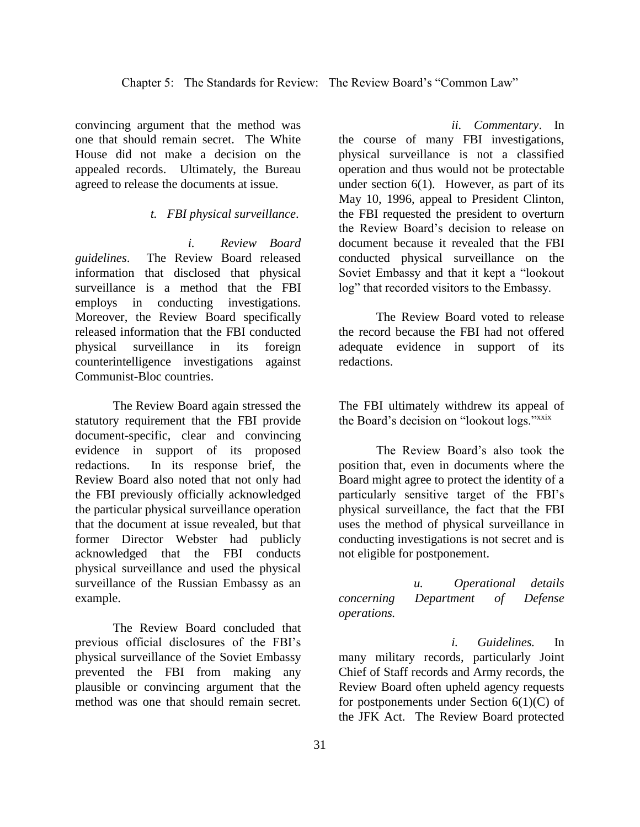convincing argument that the method was one that should remain secret. The White House did not make a decision on the appealed records. Ultimately, the Bureau agreed to release the documents at issue.

### *t. FBI physical surveillance*.

*i. Review Board guidelines*. The Review Board released information that disclosed that physical surveillance is a method that the FBI employs in conducting investigations. Moreover, the Review Board specifically released information that the FBI conducted physical surveillance in its foreign counterintelligence investigations against Communist-Bloc countries.

The Review Board again stressed the statutory requirement that the FBI provide document-specific, clear and convincing evidence in support of its proposed redactions. In its response brief, the Review Board also noted that not only had the FBI previously officially acknowledged the particular physical surveillance operation that the document at issue revealed, but that former Director Webster had publicly acknowledged that the FBI conducts physical surveillance and used the physical surveillance of the Russian Embassy as an example.

The Review Board concluded that previous official disclosures of the FBI's physical surveillance of the Soviet Embassy prevented the FBI from making any plausible or convincing argument that the method was one that should remain secret.

*ii. Commentary*. In the course of many FBI investigations, physical surveillance is not a classified operation and thus would not be protectable under section  $6(1)$ . However, as part of its May 10, 1996, appeal to President Clinton, the FBI requested the president to overturn the Review Board's decision to release on document because it revealed that the FBI conducted physical surveillance on the Soviet Embassy and that it kept a "lookout log" that recorded visitors to the Embassy.

The Review Board voted to release the record because the FBI had not offered adequate evidence in support of its redactions.

The FBI ultimately withdrew its appeal of the Board's decision on "lookout logs."xxix

The Review Board's also took the position that, even in documents where the Board might agree to protect the identity of a particularly sensitive target of the FBI's physical surveillance, the fact that the FBI uses the method of physical surveillance in conducting investigations is not secret and is not eligible for postponement.

*u. Operational details concerning Department of Defense operations.*

*i. Guidelines.* In many military records, particularly Joint Chief of Staff records and Army records, the Review Board often upheld agency requests for postponements under Section  $6(1)(C)$  of the JFK Act. The Review Board protected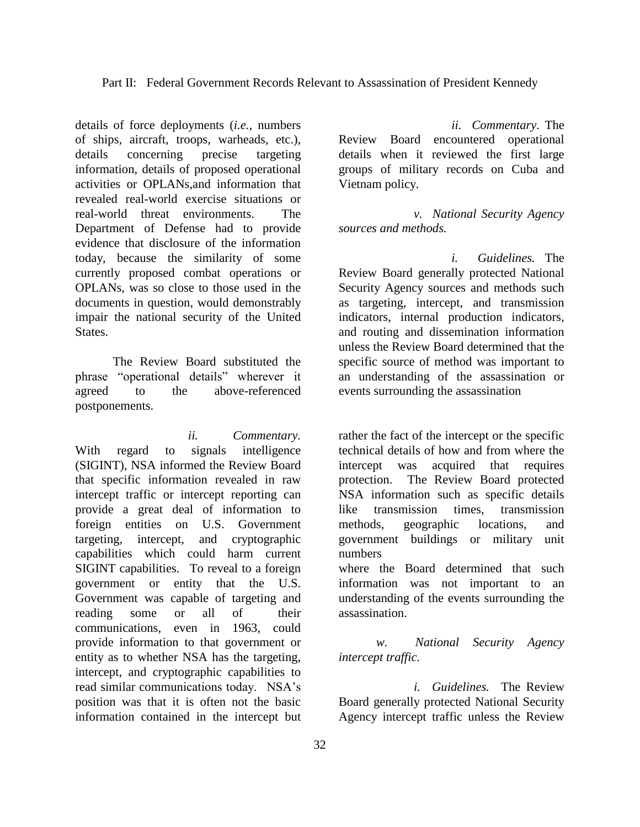details of force deployments (*i.e.,* numbers of ships, aircraft, troops, warheads, etc.), details concerning precise targeting information, details of proposed operational activities or OPLANs,and information that revealed real-world exercise situations or real-world threat environments. The Department of Defense had to provide evidence that disclosure of the information today, because the similarity of some currently proposed combat operations or OPLANs, was so close to those used in the documents in question, would demonstrably impair the national security of the United States.

The Review Board substituted the phrase "operational details" wherever it agreed to the above-referenced postponements.

*ii. Commentary.*  With regard to signals intelligence (SIGINT), NSA informed the Review Board that specific information revealed in raw intercept traffic or intercept reporting can provide a great deal of information to foreign entities on U.S. Government targeting, intercept, and cryptographic capabilities which could harm current SIGINT capabilities. To reveal to a foreign government or entity that the U.S. Government was capable of targeting and reading some or all of their communications, even in 1963, could provide information to that government or entity as to whether NSA has the targeting, intercept, and cryptographic capabilities to read similar communications today. NSA's position was that it is often not the basic information contained in the intercept but

*ii. Commentary.* The Review Board encountered operational details when it reviewed the first large groups of military records on Cuba and Vietnam policy.

*v. National Security Agency sources and methods.*

*i. Guidelines.* The Review Board generally protected National Security Agency sources and methods such as targeting, intercept, and transmission indicators, internal production indicators, and routing and dissemination information unless the Review Board determined that the specific source of method was important to an understanding of the assassination or events surrounding the assassination

rather the fact of the intercept or the specific technical details of how and from where the intercept was acquired that requires protection. The Review Board protected NSA information such as specific details like transmission times, transmission methods, geographic locations, and government buildings or military unit numbers where the Board determined that such information was not important to an understanding of the events surrounding the assassination.

*w. National Security Agency intercept traffic.*

*i. Guidelines.* The Review Board generally protected National Security Agency intercept traffic unless the Review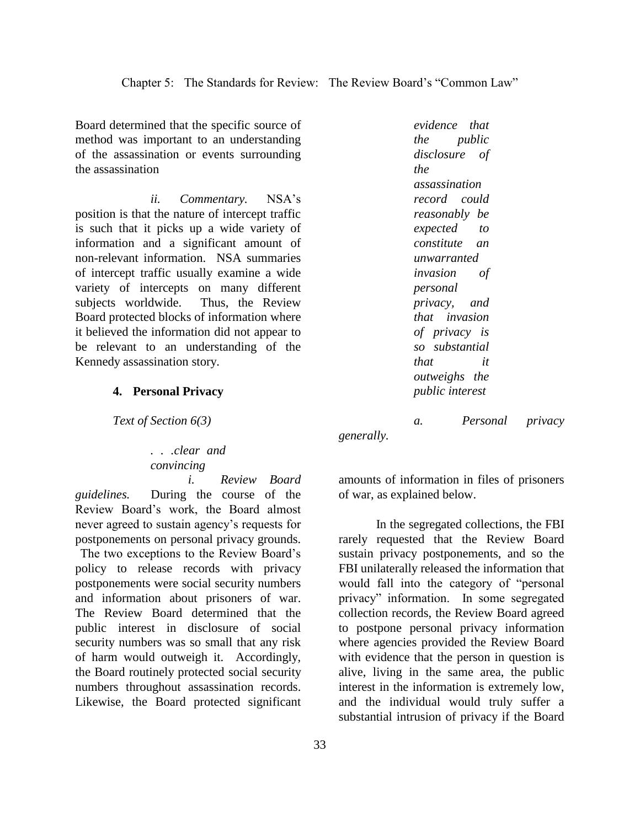Board determined that the specific source of method was important to an understanding of the assassination or events surrounding the assassination

*ii. Commentary.* NSA's position is that the nature of intercept traffic is such that it picks up a wide variety of information and a significant amount of non-relevant information. NSA summaries of intercept traffic usually examine a wide variety of intercepts on many different subjects worldwide. Thus, the Review Board protected blocks of information where it believed the information did not appear to be relevant to an understanding of the Kennedy assassination story.

#### **4. Personal Privacy**

*Text of Section 6(3)*

*. . .clear and convincing* 

*i. Review Board guidelines.* During the course of the Review Board's work, the Board almost never agreed to sustain agency's requests for postponements on personal privacy grounds. The two exceptions to the Review Board's policy to release records with privacy postponements were social security numbers and information about prisoners of war. The Review Board determined that the public interest in disclosure of social security numbers was so small that any risk of harm would outweigh it. Accordingly, the Board routinely protected social security numbers throughout assassination records. Likewise, the Board protected significant

*evidence that the public disclosure of the assassination record could reasonably be expected to constitute an unwarranted invasion of personal privacy, and that invasion of privacy is so substantial that it outweighs the public interest*

*a. Personal privacy generally.*

amounts of information in files of prisoners of war, as explained below.

In the segregated collections, the FBI rarely requested that the Review Board sustain privacy postponements, and so the FBI unilaterally released the information that would fall into the category of "personal privacy" information. In some segregated collection records, the Review Board agreed to postpone personal privacy information where agencies provided the Review Board with evidence that the person in question is alive, living in the same area, the public interest in the information is extremely low, and the individual would truly suffer a substantial intrusion of privacy if the Board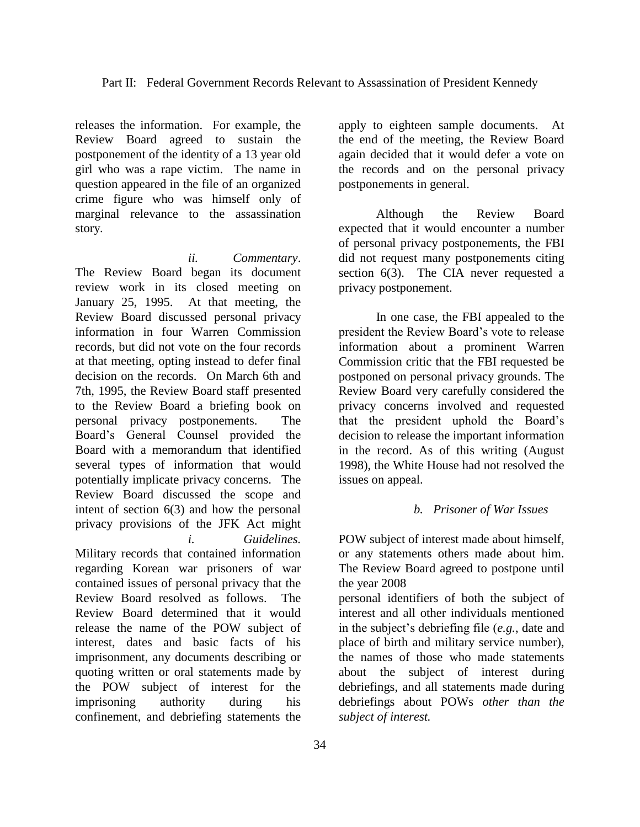releases the information. For example, the Review Board agreed to sustain the postponement of the identity of a 13 year old girl who was a rape victim. The name in question appeared in the file of an organized crime figure who was himself only of marginal relevance to the assassination story.

*ii. Commentary*. The Review Board began its document review work in its closed meeting on January 25, 1995. At that meeting, the Review Board discussed personal privacy information in four Warren Commission records, but did not vote on the four records at that meeting, opting instead to defer final decision on the records. On March 6th and 7th, 1995, the Review Board staff presented to the Review Board a briefing book on personal privacy postponements. The Board's General Counsel provided the Board with a memorandum that identified several types of information that would potentially implicate privacy concerns. The Review Board discussed the scope and intent of section 6(3) and how the personal privacy provisions of the JFK Act might *i. Guidelines.*  Military records that contained information

regarding Korean war prisoners of war contained issues of personal privacy that the Review Board resolved as follows. The Review Board determined that it would release the name of the POW subject of interest, dates and basic facts of his imprisonment, any documents describing or quoting written or oral statements made by the POW subject of interest for the imprisoning authority during his confinement, and debriefing statements the

apply to eighteen sample documents. At the end of the meeting, the Review Board again decided that it would defer a vote on the records and on the personal privacy postponements in general.

Although the Review Board expected that it would encounter a number of personal privacy postponements, the FBI did not request many postponements citing section 6(3). The CIA never requested a privacy postponement.

In one case, the FBI appealed to the president the Review Board's vote to release information about a prominent Warren Commission critic that the FBI requested be postponed on personal privacy grounds. The Review Board very carefully considered the privacy concerns involved and requested that the president uphold the Board's decision to release the important information in the record. As of this writing (August 1998), the White House had not resolved the issues on appeal.

## *b. Prisoner of War Issues*

POW subject of interest made about himself, or any statements others made about him. The Review Board agreed to postpone until the year 2008

personal identifiers of both the subject of interest and all other individuals mentioned in the subject's debriefing file (*e.g.*, date and place of birth and military service number), the names of those who made statements about the subject of interest during debriefings, and all statements made during debriefings about POWs *other than the subject of interest.*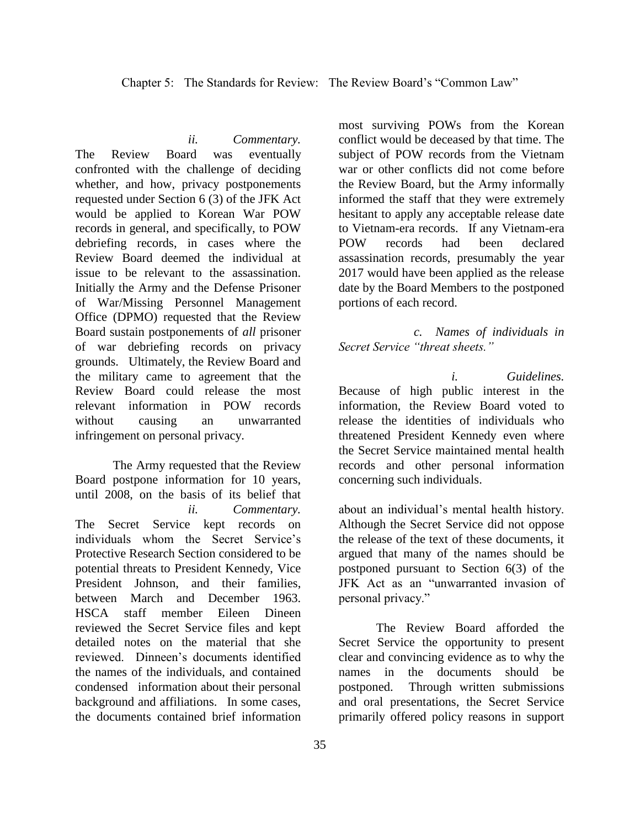*ii. Commentary.*  The Review Board was eventually confronted with the challenge of deciding whether, and how, privacy postponements requested under Section 6 (3) of the JFK Act would be applied to Korean War POW records in general, and specifically, to POW debriefing records, in cases where the Review Board deemed the individual at issue to be relevant to the assassination. Initially the Army and the Defense Prisoner of War/Missing Personnel Management Office (DPMO) requested that the Review Board sustain postponements of *all* prisoner of war debriefing records on privacy grounds. Ultimately, the Review Board and the military came to agreement that the Review Board could release the most relevant information in POW records without causing an unwarranted infringement on personal privacy.

The Army requested that the Review Board postpone information for 10 years, until 2008, on the basis of its belief that *ii. Commentary.* The Secret Service kept records on individuals whom the Secret Service's Protective Research Section considered to be potential threats to President Kennedy, Vice President Johnson, and their families, between March and December 1963. HSCA staff member Eileen Dineen reviewed the Secret Service files and kept detailed notes on the material that she reviewed. Dinneen's documents identified the names of the individuals, and contained condensed information about their personal background and affiliations. In some cases, the documents contained brief information

most surviving POWs from the Korean conflict would be deceased by that time. The subject of POW records from the Vietnam war or other conflicts did not come before the Review Board, but the Army informally informed the staff that they were extremely hesitant to apply any acceptable release date to Vietnam-era records. If any Vietnam-era POW records had been declared assassination records, presumably the year 2017 would have been applied as the release date by the Board Members to the postponed portions of each record.

*c. Names of individuals in Secret Service "threat sheets."*

*i. Guidelines.*  Because of high public interest in the information, the Review Board voted to release the identities of individuals who threatened President Kennedy even where the Secret Service maintained mental health records and other personal information concerning such individuals.

about an individual's mental health history. Although the Secret Service did not oppose the release of the text of these documents, it argued that many of the names should be postponed pursuant to Section 6(3) of the JFK Act as an "unwarranted invasion of personal privacy."

The Review Board afforded the Secret Service the opportunity to present clear and convincing evidence as to why the names in the documents should be postponed. Through written submissions and oral presentations, the Secret Service primarily offered policy reasons in support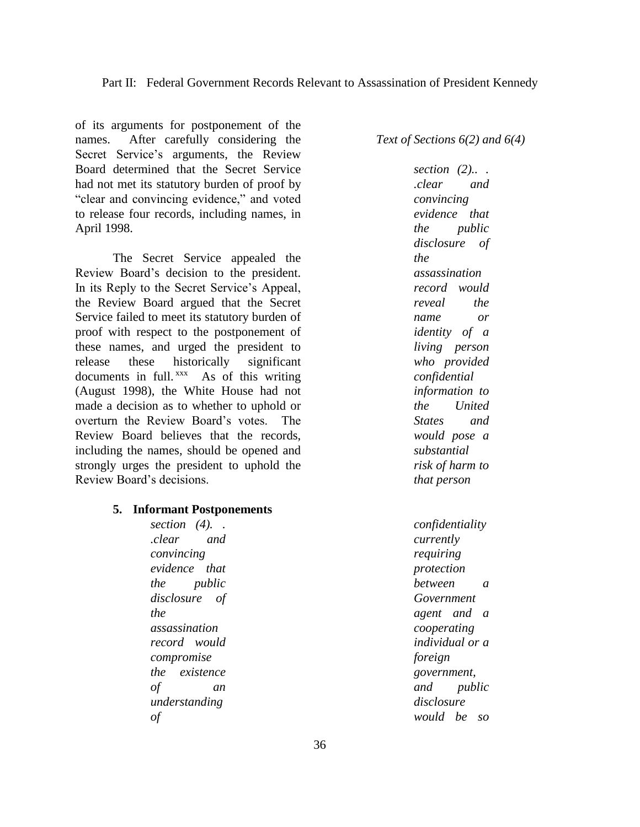of its arguments for postponement of the names. After carefully considering the Secret Service's arguments, the Review Board determined that the Secret Service had not met its statutory burden of proof by "clear and convincing evidence," and voted to release four records, including names, in April 1998.

The Secret Service appealed the Review Board's decision to the president. In its Reply to the Secret Service's Appeal, the Review Board argued that the Secret Service failed to meet its statutory burden of proof with respect to the postponement of these names, and urged the president to release these historically significant documents in full.<sup>xxx</sup> As of this writing (August 1998), the White House had not made a decision as to whether to uphold or overturn the Review Board's votes. The Review Board believes that the records, including the names, should be opened and strongly urges the president to uphold the Review Board's decisions.

#### **5. Informant Postponements**

*section (4). . .clear and convincing evidence that the public disclosure of the assassination record would compromise the existence of an understanding of* 

*Text of Sections 6(2) and 6(4)*

*section (2).. . .clear and convincing evidence that the public disclosure of the assassination record would reveal the name or identity of a living person who provided confidential information to the United States and would pose a substantial risk of harm to that person*

*confidentiality currently requiring protection between a Government agent and a cooperating individual or a foreign government, and public disclosure would be so*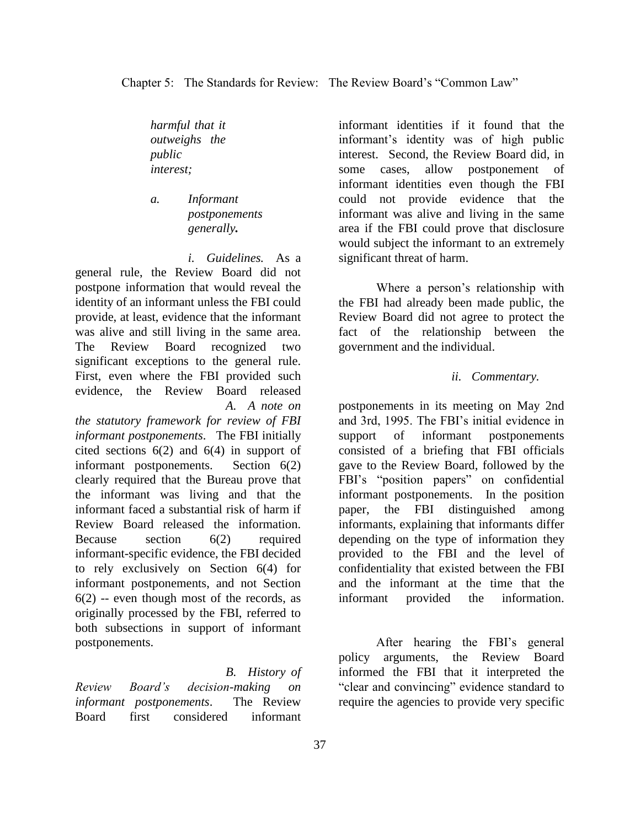*harmful that it outweighs the public interest;*

*a. Informant postponements generally.*

*i. Guidelines.* As a general rule, the Review Board did not postpone information that would reveal the identity of an informant unless the FBI could provide, at least, evidence that the informant was alive and still living in the same area. The Review Board recognized two significant exceptions to the general rule. First, even where the FBI provided such evidence, the Review Board released *A. A note on* 

*the statutory framework for review of FBI informant postponements*. The FBI initially cited sections 6(2) and 6(4) in support of informant postponements. Section 6(2) clearly required that the Bureau prove that the informant was living and that the informant faced a substantial risk of harm if Review Board released the information. Because section 6(2) required informant-specific evidence, the FBI decided to rely exclusively on Section 6(4) for informant postponements, and not Section  $6(2)$  -- even though most of the records, as originally processed by the FBI, referred to both subsections in support of informant postponements.

*B. History of Review Board's decision-making on informant postponements*. The Review Board first considered informant

informant identities if it found that the informant's identity was of high public interest. Second, the Review Board did, in some cases, allow postponement of informant identities even though the FBI could not provide evidence that the informant was alive and living in the same area if the FBI could prove that disclosure would subject the informant to an extremely significant threat of harm.

Where a person's relationship with the FBI had already been made public, the Review Board did not agree to protect the fact of the relationship between the government and the individual.

## *ii. Commentary.*

postponements in its meeting on May 2nd and 3rd, 1995. The FBI's initial evidence in support of informant postponements consisted of a briefing that FBI officials gave to the Review Board, followed by the FBI's "position papers" on confidential informant postponements. In the position paper, the FBI distinguished among informants, explaining that informants differ depending on the type of information they provided to the FBI and the level of confidentiality that existed between the FBI and the informant at the time that the informant provided the information.

After hearing the FBI's general policy arguments, the Review Board informed the FBI that it interpreted the "clear and convincing" evidence standard to require the agencies to provide very specific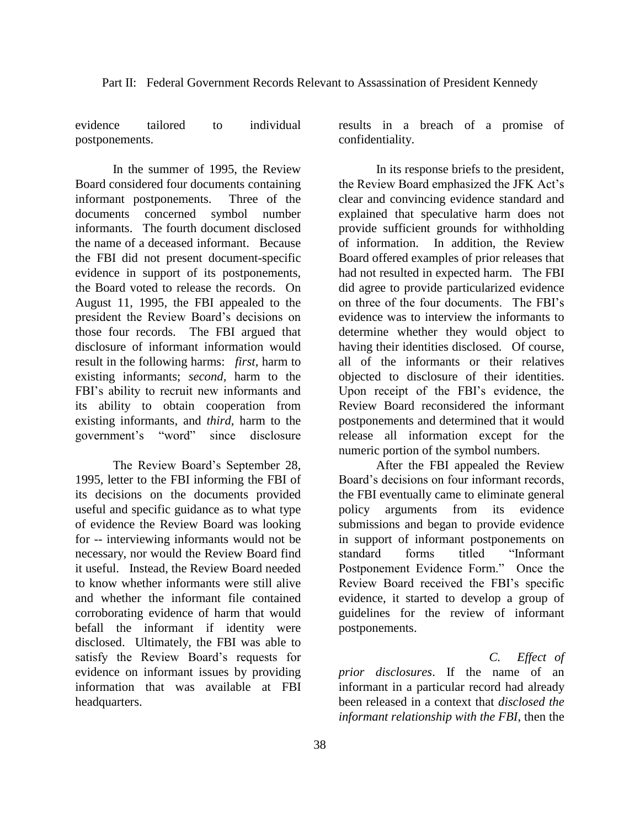evidence tailored to individual postponements.

In the summer of 1995, the Review Board considered four documents containing informant postponements. Three of the documents concerned symbol number informants. The fourth document disclosed the name of a deceased informant. Because the FBI did not present document-specific evidence in support of its postponements, the Board voted to release the records. On August 11, 1995, the FBI appealed to the president the Review Board's decisions on those four records. The FBI argued that disclosure of informant information would result in the following harms: *first,* harm to existing informants; *second,* harm to the FBI's ability to recruit new informants and its ability to obtain cooperation from existing informants, and *third,* harm to the government's "word" since disclosure

The Review Board's September 28, 1995, letter to the FBI informing the FBI of its decisions on the documents provided useful and specific guidance as to what type of evidence the Review Board was looking for -- interviewing informants would not be necessary, nor would the Review Board find it useful. Instead, the Review Board needed to know whether informants were still alive and whether the informant file contained corroborating evidence of harm that would befall the informant if identity were disclosed. Ultimately, the FBI was able to satisfy the Review Board's requests for evidence on informant issues by providing information that was available at FBI headquarters.

results in a breach of a promise of confidentiality.

In its response briefs to the president, the Review Board emphasized the JFK Act's clear and convincing evidence standard and explained that speculative harm does not provide sufficient grounds for withholding of information. In addition, the Review Board offered examples of prior releases that had not resulted in expected harm. The FBI did agree to provide particularized evidence on three of the four documents. The FBI's evidence was to interview the informants to determine whether they would object to having their identities disclosed. Of course, all of the informants or their relatives objected to disclosure of their identities. Upon receipt of the FBI's evidence, the Review Board reconsidered the informant postponements and determined that it would release all information except for the numeric portion of the symbol numbers.

After the FBI appealed the Review Board's decisions on four informant records, the FBI eventually came to eliminate general policy arguments from its evidence submissions and began to provide evidence in support of informant postponements on standard forms titled "Informant Postponement Evidence Form." Once the Review Board received the FBI's specific evidence, it started to develop a group of guidelines for the review of informant postponements.

*C. Effect of prior disclosures*. If the name of an informant in a particular record had already been released in a context that *disclosed the informant relationship with the FBI*, then the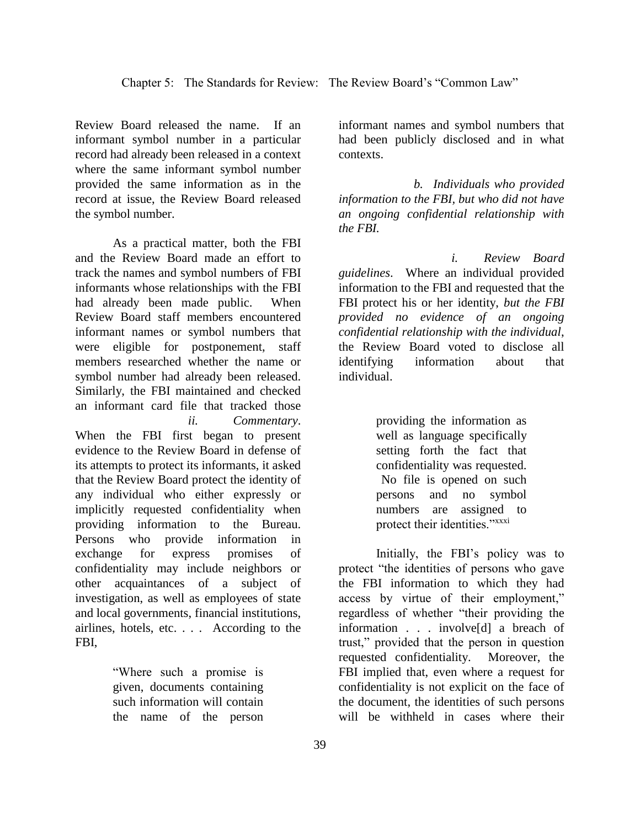Review Board released the name. If an informant symbol number in a particular record had already been released in a context where the same informant symbol number provided the same information as in the record at issue, the Review Board released the symbol number.

As a practical matter, both the FBI and the Review Board made an effort to track the names and symbol numbers of FBI informants whose relationships with the FBI had already been made public. When Review Board staff members encountered informant names or symbol numbers that were eligible for postponement, staff members researched whether the name or symbol number had already been released. Similarly, the FBI maintained and checked an informant card file that tracked those *ii. Commentary*. When the FBI first began to present evidence to the Review Board in defense of its attempts to protect its informants, it asked that the Review Board protect the identity of any individual who either expressly or implicitly requested confidentiality when providing information to the Bureau. Persons who provide information in exchange for express promises of confidentiality may include neighbors or other acquaintances of a subject of investigation, as well as employees of state and local governments, financial institutions, airlines, hotels, etc. . . . According to the FBI,

> "Where such a promise is given, documents containing such information will contain the name of the person

informant names and symbol numbers that had been publicly disclosed and in what contexts.

*b. Individuals who provided information to the FBI, but who did not have an ongoing confidential relationship with the FBI.*

*i. Review Board guidelines*. Where an individual provided information to the FBI and requested that the FBI protect his or her identity, *but the FBI provided no evidence of an ongoing confidential relationship with the individual*, the Review Board voted to disclose all identifying information about that individual.

> providing the information as well as language specifically setting forth the fact that confidentiality was requested. No file is opened on such persons and no symbol numbers are assigned to protect their identities."xxxi

Initially, the FBI's policy was to protect "the identities of persons who gave the FBI information to which they had access by virtue of their employment," regardless of whether "their providing the information . . . involve[d] a breach of trust," provided that the person in question requested confidentiality. Moreover, the FBI implied that, even where a request for confidentiality is not explicit on the face of the document, the identities of such persons will be withheld in cases where their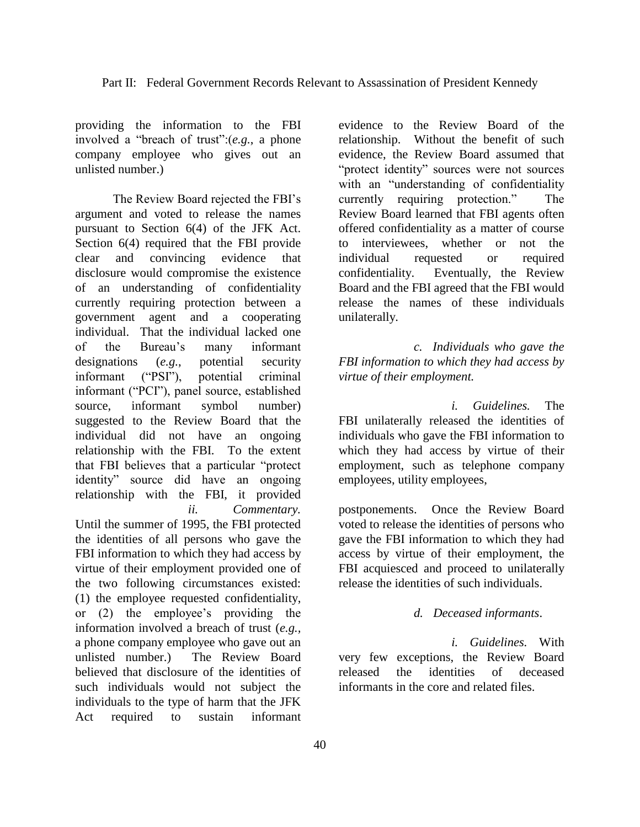providing the information to the FBI involved a "breach of trust":(*e.g.*, a phone company employee who gives out an unlisted number.)

The Review Board rejected the FBI's argument and voted to release the names pursuant to Section 6(4) of the JFK Act. Section 6(4) required that the FBI provide clear and convincing evidence that disclosure would compromise the existence of an understanding of confidentiality currently requiring protection between a government agent and a cooperating individual. That the individual lacked one of the Bureau's many informant designations (*e.g.*, potential security informant ("PSI"), potential criminal informant ("PCI"), panel source, established source, informant symbol number) suggested to the Review Board that the individual did not have an ongoing relationship with the FBI. To the extent that FBI believes that a particular "protect identity" source did have an ongoing relationship with the FBI, it provided *ii. Commentary.*  Until the summer of 1995, the FBI protected the identities of all persons who gave the FBI information to which they had access by virtue of their employment provided one of the two following circumstances existed: (1) the employee requested confidentiality, or (2) the employee's providing the information involved a breach of trust (*e.g.,* a phone company employee who gave out an unlisted number.) The Review Board believed that disclosure of the identities of such individuals would not subject the individuals to the type of harm that the JFK

Act required to sustain informant

evidence to the Review Board of the relationship. Without the benefit of such evidence, the Review Board assumed that "protect identity" sources were not sources with an "understanding of confidentiality currently requiring protection." The Review Board learned that FBI agents often offered confidentiality as a matter of course to interviewees, whether or not the individual requested or required confidentiality. Eventually, the Review Board and the FBI agreed that the FBI would release the names of these individuals unilaterally.

*c. Individuals who gave the FBI information to which they had access by virtue of their employment.*

*i. Guidelines.* The FBI unilaterally released the identities of individuals who gave the FBI information to which they had access by virtue of their employment, such as telephone company employees, utility employees,

postponements. Once the Review Board voted to release the identities of persons who gave the FBI information to which they had access by virtue of their employment, the FBI acquiesced and proceed to unilaterally release the identities of such individuals.

### *d. Deceased informants*.

*i. Guidelines.* With very few exceptions, the Review Board released the identities of deceased informants in the core and related files.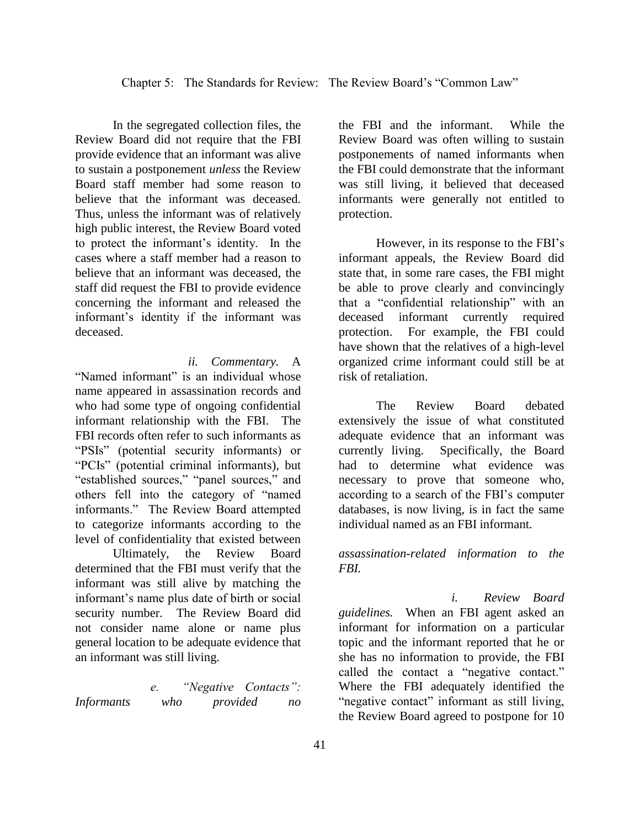In the segregated collection files, the Review Board did not require that the FBI provide evidence that an informant was alive to sustain a postponement *unless* the Review Board staff member had some reason to believe that the informant was deceased. Thus, unless the informant was of relatively high public interest, the Review Board voted to protect the informant's identity. In the cases where a staff member had a reason to believe that an informant was deceased, the staff did request the FBI to provide evidence concerning the informant and released the informant's identity if the informant was deceased.

*ii. Commentary.* A

"Named informant" is an individual whose name appeared in assassination records and who had some type of ongoing confidential informant relationship with the FBI. The FBI records often refer to such informants as "PSIs" (potential security informants) or "PCIs" (potential criminal informants), but "established sources," "panel sources," and others fell into the category of "named informants." The Review Board attempted to categorize informants according to the level of confidentiality that existed between

Ultimately, the Review Board determined that the FBI must verify that the informant was still alive by matching the informant's name plus date of birth or social security number. The Review Board did not consider name alone or name plus general location to be adequate evidence that an informant was still living.

*e. "Negative Contacts": Informants who provided no*  the FBI and the informant. While the Review Board was often willing to sustain postponements of named informants when the FBI could demonstrate that the informant was still living, it believed that deceased informants were generally not entitled to protection.

However, in its response to the FBI's informant appeals, the Review Board did state that, in some rare cases, the FBI might be able to prove clearly and convincingly that a "confidential relationship" with an deceased informant currently required protection. For example, the FBI could have shown that the relatives of a high-level organized crime informant could still be at risk of retaliation.

The Review Board debated extensively the issue of what constituted adequate evidence that an informant was currently living. Specifically, the Board had to determine what evidence was necessary to prove that someone who, according to a search of the FBI's computer databases, is now living, is in fact the same individual named as an FBI informant.

*assassination-related information to the FBI.*

*i. Review Board guidelines.* When an FBI agent asked an informant for information on a particular topic and the informant reported that he or she has no information to provide, the FBI called the contact a "negative contact." Where the FBI adequately identified the "negative contact" informant as still living, the Review Board agreed to postpone for 10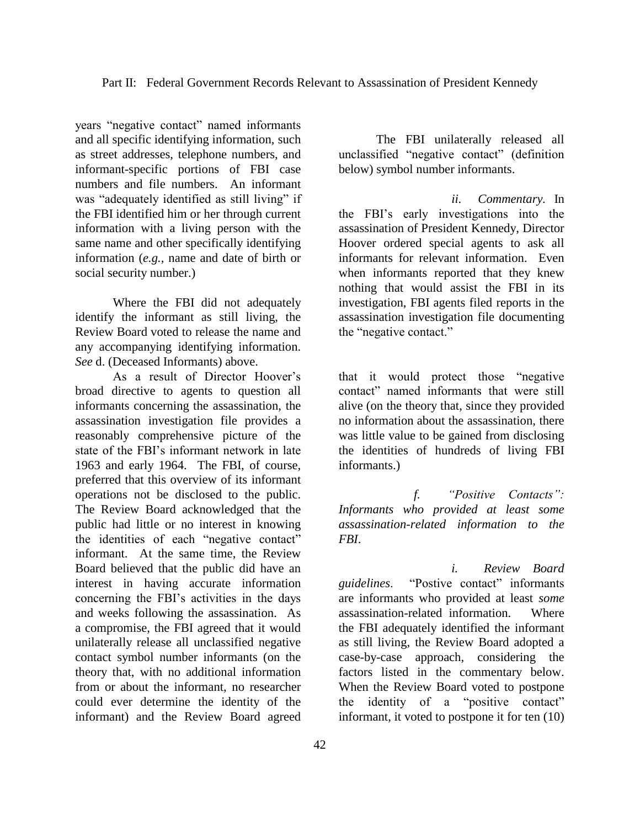years "negative contact" named informants and all specific identifying information, such as street addresses, telephone numbers, and informant-specific portions of FBI case numbers and file numbers. An informant was "adequately identified as still living" if the FBI identified him or her through current information with a living person with the same name and other specifically identifying information (*e.g.,* name and date of birth or social security number.)

Where the FBI did not adequately identify the informant as still living, the Review Board voted to release the name and any accompanying identifying information. *See* d. (Deceased Informants) above.

As a result of Director Hoover's broad directive to agents to question all informants concerning the assassination, the assassination investigation file provides a reasonably comprehensive picture of the state of the FBI's informant network in late 1963 and early 1964. The FBI, of course, preferred that this overview of its informant operations not be disclosed to the public. The Review Board acknowledged that the public had little or no interest in knowing the identities of each "negative contact" informant. At the same time, the Review Board believed that the public did have an interest in having accurate information concerning the FBI's activities in the days and weeks following the assassination. As a compromise, the FBI agreed that it would unilaterally release all unclassified negative contact symbol number informants (on the theory that, with no additional information from or about the informant, no researcher could ever determine the identity of the informant) and the Review Board agreed

The FBI unilaterally released all unclassified "negative contact" (definition below) symbol number informants.

*ii. Commentary.* In the FBI's early investigations into the assassination of President Kennedy, Director Hoover ordered special agents to ask all informants for relevant information. Even when informants reported that they knew nothing that would assist the FBI in its investigation, FBI agents filed reports in the assassination investigation file documenting the "negative contact."

that it would protect those "negative contact" named informants that were still alive (on the theory that, since they provided no information about the assassination, there was little value to be gained from disclosing the identities of hundreds of living FBI informants.)

*f. "Positive Contacts": Informants who provided at least some assassination-related information to the FBI*.

*i. Review Board guidelines*. "Postive contact" informants are informants who provided at least *some* assassination-related information. Where the FBI adequately identified the informant as still living, the Review Board adopted a case-by-case approach, considering the factors listed in the commentary below. When the Review Board voted to postpone the identity of a "positive contact" informant, it voted to postpone it for ten (10)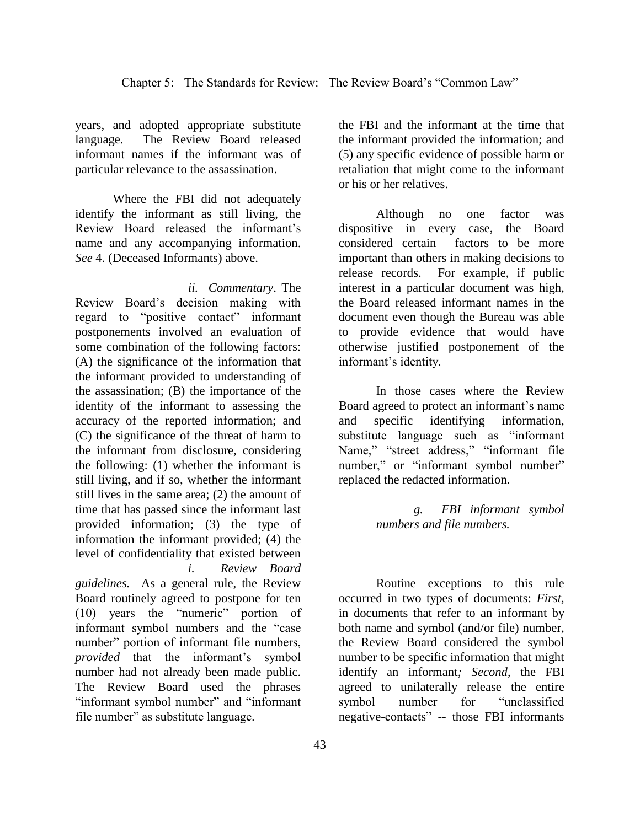years, and adopted appropriate substitute language. The Review Board released informant names if the informant was of particular relevance to the assassination.

Where the FBI did not adequately identify the informant as still living, the Review Board released the informant's name and any accompanying information. *See* 4. (Deceased Informants) above.

*ii. Commentary*. The Review Board's decision making with regard to "positive contact" informant postponements involved an evaluation of some combination of the following factors: (A) the significance of the information that the informant provided to understanding of the assassination; (B) the importance of the identity of the informant to assessing the accuracy of the reported information; and (C) the significance of the threat of harm to the informant from disclosure, considering the following: (1) whether the informant is still living, and if so, whether the informant still lives in the same area; (2) the amount of time that has passed since the informant last provided information; (3) the type of information the informant provided; (4) the level of confidentiality that existed between *i. Review Board* 

*guidelines.* As a general rule, the Review Board routinely agreed to postpone for ten (10) years the "numeric" portion of informant symbol numbers and the "case number" portion of informant file numbers, *provided* that the informant's symbol number had not already been made public. The Review Board used the phrases "informant symbol number" and "informant file number" as substitute language.

the FBI and the informant at the time that the informant provided the information; and (5) any specific evidence of possible harm or retaliation that might come to the informant or his or her relatives.

Although no one factor was dispositive in every case, the Board considered certain factors to be more important than others in making decisions to release records. For example, if public interest in a particular document was high, the Board released informant names in the document even though the Bureau was able to provide evidence that would have otherwise justified postponement of the informant's identity.

In those cases where the Review Board agreed to protect an informant's name and specific identifying information, substitute language such as "informant Name," "street address," "informant file number," or "informant symbol number" replaced the redacted information.

> *g. FBI informant symbol numbers and file numbers.*

Routine exceptions to this rule occurred in two types of documents: *First,*  in documents that refer to an informant by both name and symbol (and/or file) number, the Review Board considered the symbol number to be specific information that might identify an informant*; Second*, the FBI agreed to unilaterally release the entire symbol number for "unclassified negative-contacts" -- those FBI informants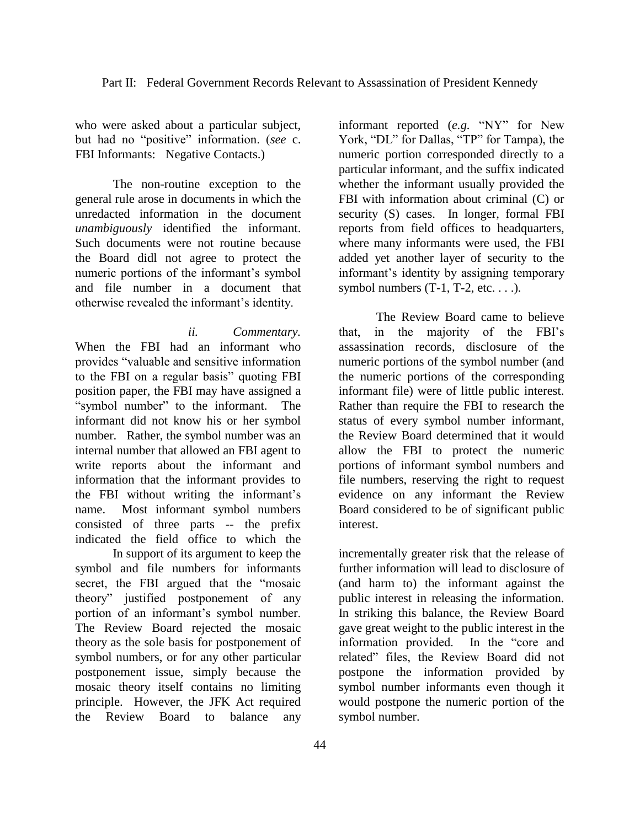who were asked about a particular subject, but had no "positive" information. (*see* c. FBI Informants: Negative Contacts.)

The non-routine exception to the general rule arose in documents in which the unredacted information in the document *unambiguously* identified the informant. Such documents were not routine because the Board didl not agree to protect the numeric portions of the informant's symbol and file number in a document that otherwise revealed the informant's identity.

*ii. Commentary.*  When the FBI had an informant who provides "valuable and sensitive information to the FBI on a regular basis" quoting FBI position paper, the FBI may have assigned a "symbol number" to the informant. The informant did not know his or her symbol number. Rather, the symbol number was an internal number that allowed an FBI agent to write reports about the informant and information that the informant provides to the FBI without writing the informant's name. Most informant symbol numbers consisted of three parts -- the prefix indicated the field office to which the

In support of its argument to keep the symbol and file numbers for informants secret, the FBI argued that the "mosaic theory" justified postponement of any portion of an informant's symbol number. The Review Board rejected the mosaic theory as the sole basis for postponement of symbol numbers, or for any other particular postponement issue, simply because the mosaic theory itself contains no limiting principle. However, the JFK Act required the Review Board to balance any

informant reported (*e.g.* "NY" for New York, "DL" for Dallas, "TP" for Tampa), the numeric portion corresponded directly to a particular informant, and the suffix indicated whether the informant usually provided the FBI with information about criminal (C) or security (S) cases. In longer, formal FBI reports from field offices to headquarters, where many informants were used, the FBI added yet another layer of security to the informant's identity by assigning temporary symbol numbers  $(T-1, T-2, etc. ...)$ .

The Review Board came to believe that, in the majority of the FBI's assassination records, disclosure of the numeric portions of the symbol number (and the numeric portions of the corresponding informant file) were of little public interest. Rather than require the FBI to research the status of every symbol number informant, the Review Board determined that it would allow the FBI to protect the numeric portions of informant symbol numbers and file numbers, reserving the right to request evidence on any informant the Review Board considered to be of significant public interest.

incrementally greater risk that the release of further information will lead to disclosure of (and harm to) the informant against the public interest in releasing the information. In striking this balance, the Review Board gave great weight to the public interest in the information provided. In the "core and related" files, the Review Board did not postpone the information provided by symbol number informants even though it would postpone the numeric portion of the symbol number.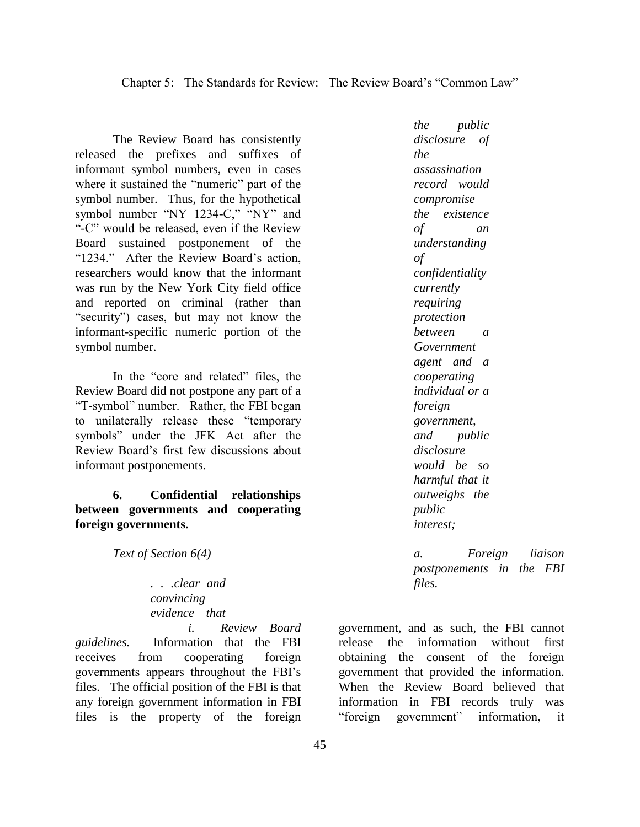The Review Board has consistently released the prefixes and suffixes of informant symbol numbers, even in cases where it sustained the "numeric" part of the symbol number. Thus, for the hypothetical symbol number "NY 1234-C," "NY" and "-C" would be released, even if the Review Board sustained postponement of the "1234." After the Review Board's action, researchers would know that the informant was run by the New York City field office and reported on criminal (rather than "security") cases, but may not know the informant-specific numeric portion of the symbol number.

In the "core and related" files, the Review Board did not postpone any part of a "T-symbol" number. Rather, the FBI began to unilaterally release these "temporary symbols" under the JFK Act after the Review Board's first few discussions about informant postponements.

**6. Confidential relationships between governments and cooperating foreign governments.**

*Text of Section 6(4)*

*. . .clear and convincing evidence that* 

*i. Review Board guidelines.* Information that the FBI receives from cooperating foreign governments appears throughout the FBI's files. The official position of the FBI is that any foreign government information in FBI files is the property of the foreign

*the public disclosure of the assassination record would compromise the existence of an understanding of confidentiality currently requiring protection between a Government agent and a cooperating individual or a foreign government, and public disclosure would be so harmful that it outweighs the public interest;*

*a. Foreign liaison postponements in the FBI files.*

government, and as such, the FBI cannot release the information without first obtaining the consent of the foreign government that provided the information. When the Review Board believed that information in FBI records truly was "foreign government" information, it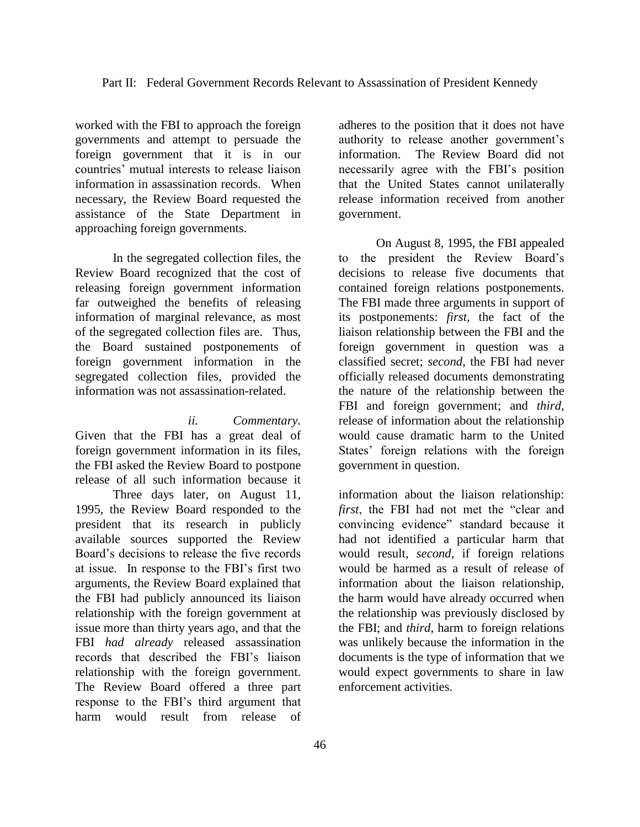worked with the FBI to approach the foreign governments and attempt to persuade the foreign government that it is in our countries' mutual interests to release liaison information in assassination records. When necessary, the Review Board requested the assistance of the State Department in approaching foreign governments.

In the segregated collection files, the Review Board recognized that the cost of releasing foreign government information far outweighed the benefits of releasing information of marginal relevance, as most of the segregated collection files are. Thus, the Board sustained postponements of foreign government information in the segregated collection files, provided the information was not assassination-related.

*ii. Commentary.*  Given that the FBI has a great deal of foreign government information in its files, the FBI asked the Review Board to postpone release of all such information because it

Three days later, on August 11, 1995, the Review Board responded to the president that its research in publicly available sources supported the Review Board's decisions to release the five records at issue. In response to the FBI's first two arguments, the Review Board explained that the FBI had publicly announced its liaison relationship with the foreign government at issue more than thirty years ago, and that the FBI *had already* released assassination records that described the FBI's liaison relationship with the foreign government. The Review Board offered a three part response to the FBI's third argument that harm would result from release of

adheres to the position that it does not have authority to release another government's information. The Review Board did not necessarily agree with the FBI's position that the United States cannot unilaterally release information received from another government.

On August 8, 1995, the FBI appealed to the president the Review Board's decisions to release five documents that contained foreign relations postponements. The FBI made three arguments in support of its postponements: *first,* the fact of the liaison relationship between the FBI and the foreign government in question was a classified secret; *second,* the FBI had never officially released documents demonstrating the nature of the relationship between the FBI and foreign government; and *third,*  release of information about the relationship would cause dramatic harm to the United States' foreign relations with the foreign government in question.

information about the liaison relationship: *first*, the FBI had not met the "clear and convincing evidence" standard because it had not identified a particular harm that would result, *second,* if foreign relations would be harmed as a result of release of information about the liaison relationship, the harm would have already occurred when the relationship was previously disclosed by the FBI; and *third,* harm to foreign relations was unlikely because the information in the documents is the type of information that we would expect governments to share in law enforcement activities.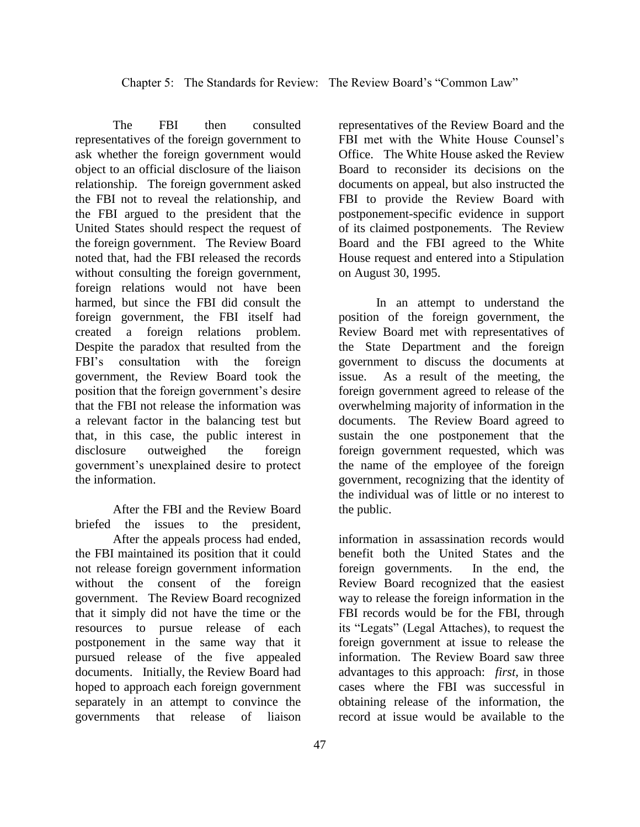The FBI then consulted representatives of the foreign government to ask whether the foreign government would object to an official disclosure of the liaison relationship. The foreign government asked the FBI not to reveal the relationship, and the FBI argued to the president that the United States should respect the request of the foreign government. The Review Board noted that, had the FBI released the records without consulting the foreign government, foreign relations would not have been harmed, but since the FBI did consult the foreign government, the FBI itself had created a foreign relations problem. Despite the paradox that resulted from the FBI's consultation with the foreign government, the Review Board took the position that the foreign government's desire that the FBI not release the information was a relevant factor in the balancing test but that, in this case, the public interest in disclosure outweighed the foreign government's unexplained desire to protect the information.

After the FBI and the Review Board briefed the issues to the president, After the appeals process had ended, the FBI maintained its position that it could not release foreign government information without the consent of the foreign government. The Review Board recognized that it simply did not have the time or the resources to pursue release of each postponement in the same way that it pursued release of the five appealed documents. Initially, the Review Board had hoped to approach each foreign government separately in an attempt to convince the governments that release of liaison representatives of the Review Board and the FBI met with the White House Counsel's Office. The White House asked the Review Board to reconsider its decisions on the documents on appeal, but also instructed the FBI to provide the Review Board with postponement-specific evidence in support of its claimed postponements. The Review Board and the FBI agreed to the White House request and entered into a Stipulation on August 30, 1995.

In an attempt to understand the position of the foreign government, the Review Board met with representatives of the State Department and the foreign government to discuss the documents at issue. As a result of the meeting, the foreign government agreed to release of the overwhelming majority of information in the documents. The Review Board agreed to sustain the one postponement that the foreign government requested, which was the name of the employee of the foreign government, recognizing that the identity of the individual was of little or no interest to the public.

information in assassination records would benefit both the United States and the foreign governments. In the end, the Review Board recognized that the easiest way to release the foreign information in the FBI records would be for the FBI, through its "Legats" (Legal Attaches), to request the foreign government at issue to release the information. The Review Board saw three advantages to this approach: *first,* in those cases where the FBI was successful in obtaining release of the information, the record at issue would be available to the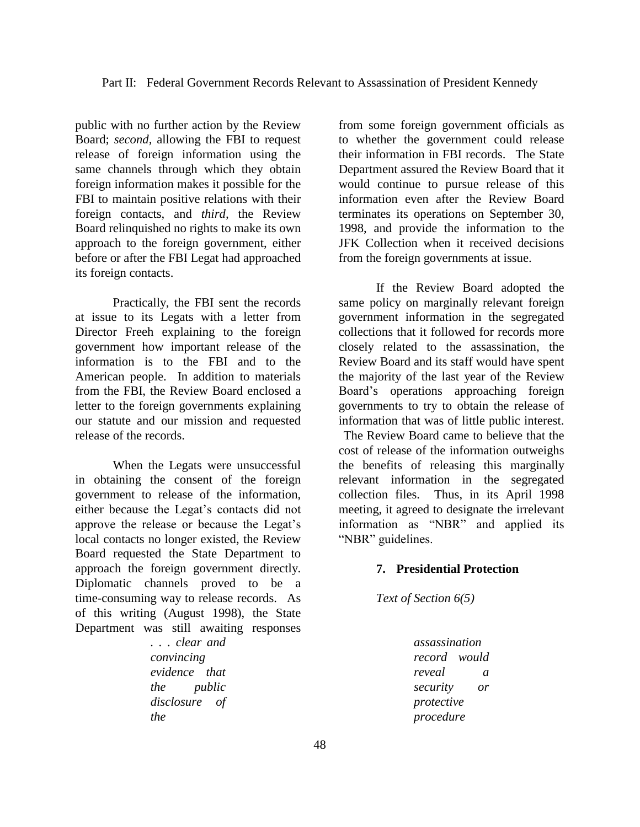public with no further action by the Review Board; *second,* allowing the FBI to request release of foreign information using the same channels through which they obtain foreign information makes it possible for the FBI to maintain positive relations with their foreign contacts, and *third,* the Review Board relinquished no rights to make its own approach to the foreign government, either before or after the FBI Legat had approached its foreign contacts.

Practically, the FBI sent the records at issue to its Legats with a letter from Director Freeh explaining to the foreign government how important release of the information is to the FBI and to the American people. In addition to materials from the FBI, the Review Board enclosed a letter to the foreign governments explaining our statute and our mission and requested release of the records.

When the Legats were unsuccessful in obtaining the consent of the foreign government to release of the information, either because the Legat's contacts did not approve the release or because the Legat's local contacts no longer existed, the Review Board requested the State Department to approach the foreign government directly. Diplomatic channels proved to be a time-consuming way to release records. As of this writing (August 1998), the State Department was still awaiting responses

> *. . . clear and convincing evidence that the public disclosure of the*

from some foreign government officials as to whether the government could release their information in FBI records. The State Department assured the Review Board that it would continue to pursue release of this information even after the Review Board terminates its operations on September 30, 1998, and provide the information to the JFK Collection when it received decisions from the foreign governments at issue.

If the Review Board adopted the same policy on marginally relevant foreign government information in the segregated collections that it followed for records more closely related to the assassination, the Review Board and its staff would have spent the majority of the last year of the Review Board's operations approaching foreign governments to try to obtain the release of information that was of little public interest.

The Review Board came to believe that the cost of release of the information outweighs the benefits of releasing this marginally relevant information in the segregated collection files. Thus, in its April 1998 meeting, it agreed to designate the irrelevant information as "NBR" and applied its "NBR" guidelines.

### **7. Presidential Protection**

*Text of Section 6(5)*

*assassination record would reveal a security or protective procedure*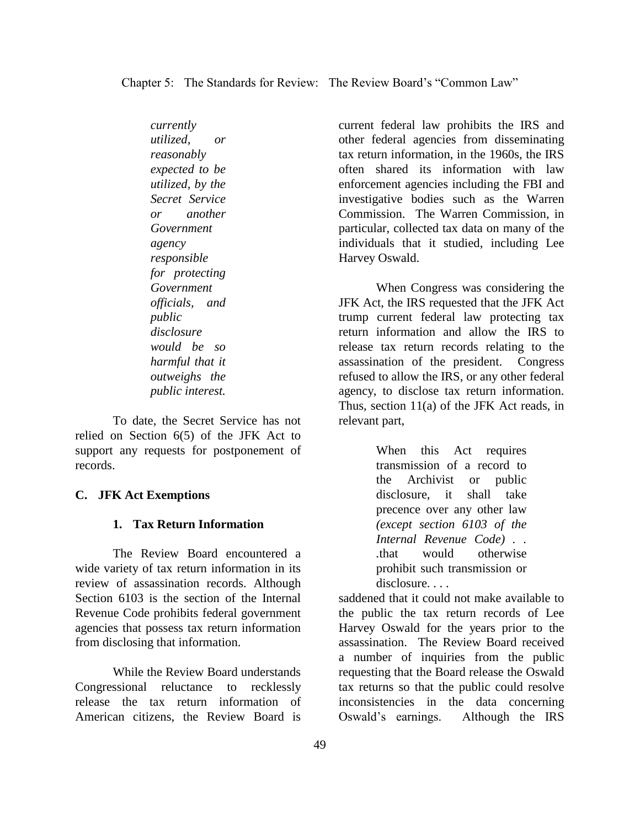Chapter 5: The Standards for Review: The Review Board's "Common Law"

*currently utilized, or reasonably expected to be utilized, by the Secret Service or another Government agency responsible for protecting Government officials, and public disclosure would be so harmful that it outweighs the public interest.*

To date, the Secret Service has not relied on Section 6(5) of the JFK Act to support any requests for postponement of records.

### **C. JFK Act Exemptions**

## **1. Tax Return Information**

The Review Board encountered a wide variety of tax return information in its review of assassination records. Although Section 6103 is the section of the Internal Revenue Code prohibits federal government agencies that possess tax return information from disclosing that information.

While the Review Board understands Congressional reluctance to recklessly release the tax return information of American citizens, the Review Board is

current federal law prohibits the IRS and other federal agencies from disseminating tax return information, in the 1960s, the IRS often shared its information with law enforcement agencies including the FBI and investigative bodies such as the Warren Commission. The Warren Commission, in particular, collected tax data on many of the individuals that it studied, including Lee Harvey Oswald.

When Congress was considering the JFK Act, the IRS requested that the JFK Act trump current federal law protecting tax return information and allow the IRS to release tax return records relating to the assassination of the president. Congress refused to allow the IRS, or any other federal agency, to disclose tax return information. Thus, section 11(a) of the JFK Act reads, in relevant part,

> When this Act requires transmission of a record to the Archivist or public disclosure, it shall take precence over any other law *(except section 6103 of the Internal Revenue Code) . . .*that would otherwise prohibit such transmission or disclosure...

saddened that it could not make available to the public the tax return records of Lee Harvey Oswald for the years prior to the assassination. The Review Board received a number of inquiries from the public requesting that the Board release the Oswald tax returns so that the public could resolve inconsistencies in the data concerning Oswald's earnings. Although the IRS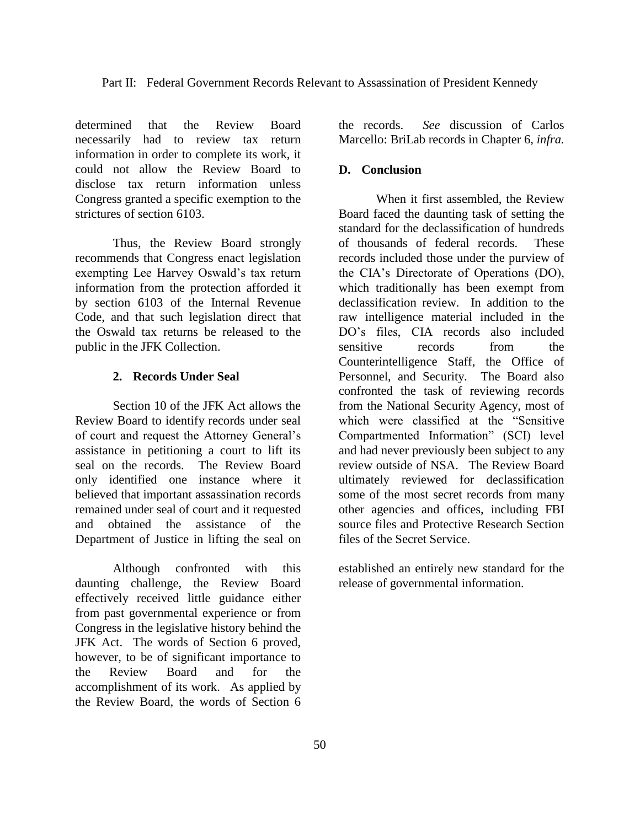determined that the Review Board necessarily had to review tax return information in order to complete its work, it could not allow the Review Board to disclose tax return information unless Congress granted a specific exemption to the strictures of section 6103.

Thus, the Review Board strongly recommends that Congress enact legislation exempting Lee Harvey Oswald's tax return information from the protection afforded it by section 6103 of the Internal Revenue Code, and that such legislation direct that the Oswald tax returns be released to the public in the JFK Collection.

### **2. Records Under Seal**

Section 10 of the JFK Act allows the Review Board to identify records under seal of court and request the Attorney General's assistance in petitioning a court to lift its seal on the records. The Review Board only identified one instance where it believed that important assassination records remained under seal of court and it requested and obtained the assistance of the Department of Justice in lifting the seal on

Although confronted with this daunting challenge, the Review Board effectively received little guidance either from past governmental experience or from Congress in the legislative history behind the JFK Act. The words of Section 6 proved, however, to be of significant importance to the Review Board and for the accomplishment of its work. As applied by the Review Board, the words of Section 6

the records. *See* discussion of Carlos Marcello: BriLab records in Chapter 6, *infra.*

## **D. Conclusion**

When it first assembled, the Review Board faced the daunting task of setting the standard for the declassification of hundreds of thousands of federal records. These records included those under the purview of the CIA's Directorate of Operations (DO), which traditionally has been exempt from declassification review. In addition to the raw intelligence material included in the DO's files, CIA records also included sensitive records from the Counterintelligence Staff, the Office of Personnel, and Security. The Board also confronted the task of reviewing records from the National Security Agency, most of which were classified at the "Sensitive Compartmented Information" (SCI) level and had never previously been subject to any review outside of NSA. The Review Board ultimately reviewed for declassification some of the most secret records from many other agencies and offices, including FBI source files and Protective Research Section files of the Secret Service.

established an entirely new standard for the release of governmental information.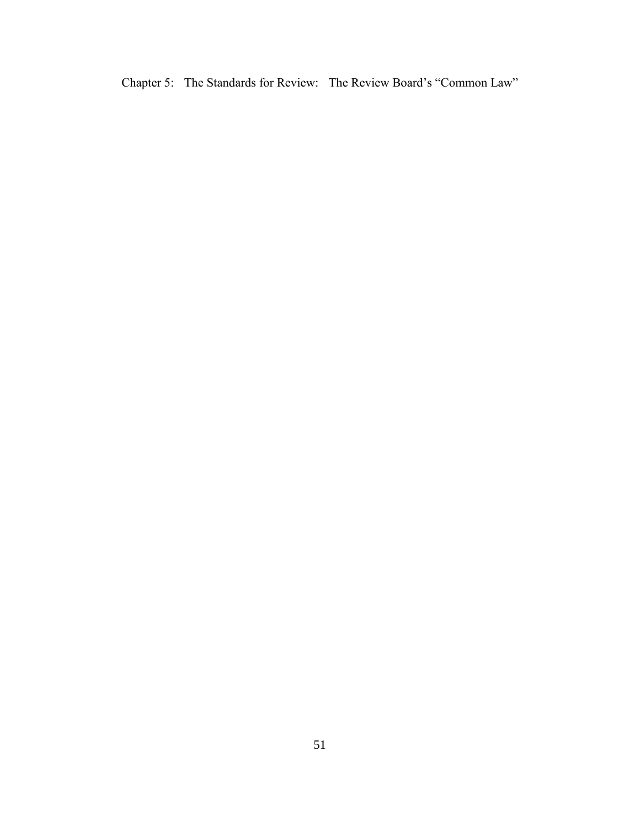Chapter 5: The Standards for Review: The Review Board's "Common Law"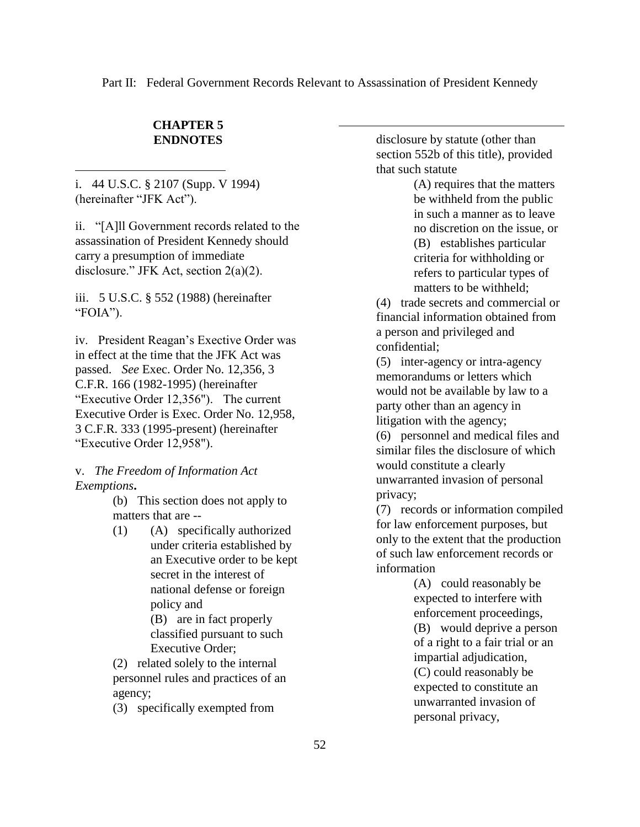Part II: Federal Government Records Relevant to Assassination of President Kennedy

 $\overline{a}$ 

## **CHAPTER 5 ENDNOTES**

i. 44 U.S.C. § 2107 (Supp. V 1994) (hereinafter "JFK Act").

 $\overline{a}$ 

ii. "[A]ll Government records related to the assassination of President Kennedy should carry a presumption of immediate disclosure." JFK Act, section 2(a)(2).

iii. 5 U.S.C. § 552 (1988) (hereinafter "FOIA").

iv. President Reagan's Exective Order was in effect at the time that the JFK Act was passed. *See* Exec. Order No. 12,356, 3 C.F.R. 166 (1982-1995) (hereinafter "Executive Order 12,356"). The current Executive Order is Exec. Order No. 12,958, 3 C.F.R. 333 (1995-present) (hereinafter "Executive Order 12,958").

## v. *The Freedom of Information Act Exemptions***.**

(b) This section does not apply to matters that are --

(1) (A) specifically authorized under criteria established by an Executive order to be kept secret in the interest of national defense or foreign policy and (B) are in fact properly classified pursuant to such Executive Order;

(2) related solely to the internal personnel rules and practices of an agency;

(3) specifically exempted from

disclosure by statute (other than section 552b of this title), provided that such statute

> (A) requires that the matters be withheld from the public in such a manner as to leave no discretion on the issue, or (B) establishes particular criteria for withholding or refers to particular types of matters to be withheld;

(4) trade secrets and commercial or financial information obtained from a person and privileged and confidential;

(5) inter-agency or intra-agency memorandums or letters which would not be available by law to a party other than an agency in litigation with the agency;

(6) personnel and medical files and similar files the disclosure of which would constitute a clearly unwarranted invasion of personal privacy;

(7) records or information compiled for law enforcement purposes, but only to the extent that the production of such law enforcement records or information

> (A) could reasonably be expected to interfere with enforcement proceedings, (B) would deprive a person of a right to a fair trial or an impartial adjudication, (C) could reasonably be expected to constitute an unwarranted invasion of personal privacy,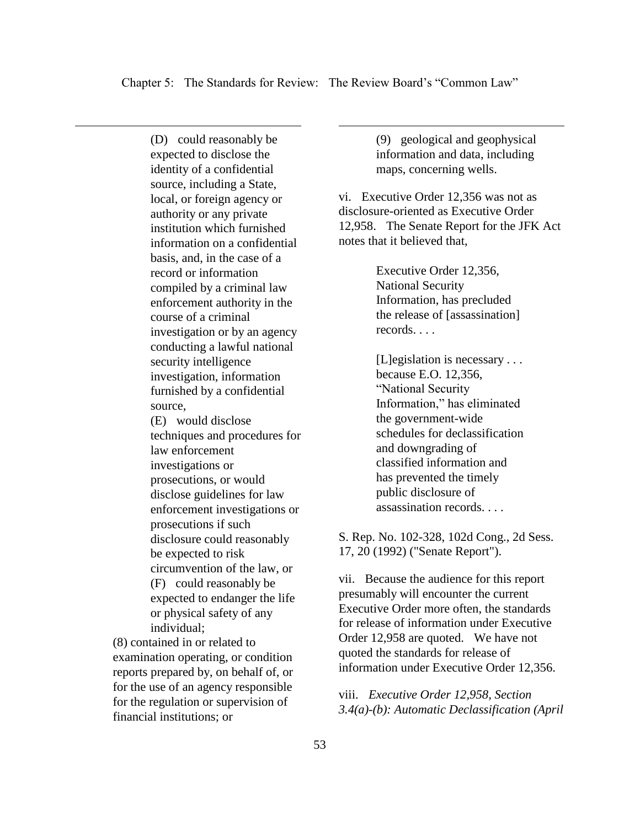$\overline{a}$ 

(D) could reasonably be expected to disclose the identity of a confidential source, including a State, local, or foreign agency or authority or any private institution which furnished information on a confidential basis, and, in the case of a record or information compiled by a criminal law enforcement authority in the course of a criminal investigation or by an agency conducting a lawful national security intelligence investigation, information furnished by a confidential source, (E) would disclose techniques and procedures for law enforcement

 $\overline{a}$ 

investigations or prosecutions, or would disclose guidelines for law enforcement investigations or prosecutions if such disclosure could reasonably be expected to risk circumvention of the law, or (F) could reasonably be expected to endanger the life or physical safety of any individual;

(8) contained in or related to examination operating, or condition reports prepared by, on behalf of, or for the use of an agency responsible for the regulation or supervision of financial institutions; or

(9) geological and geophysical information and data, including maps, concerning wells.

vi. Executive Order 12,356 was not as disclosure-oriented as Executive Order 12,958. The Senate Report for the JFK Act notes that it believed that,

> Executive Order 12,356, National Security Information, has precluded the release of [assassination] records. . . .

[L]egislation is necessary . . . because E.O. 12,356, "National Security Information," has eliminated the government-wide schedules for declassification and downgrading of classified information and has prevented the timely public disclosure of assassination records. . . .

S. Rep. No. 102-328, 102d Cong., 2d Sess. 17, 20 (1992) ("Senate Report").

vii. Because the audience for this report presumably will encounter the current Executive Order more often, the standards for release of information under Executive Order 12,958 are quoted. We have not quoted the standards for release of information under Executive Order 12,356.

viii. *Executive Order 12,958, Section 3.4(a)-(b): Automatic Declassification (April*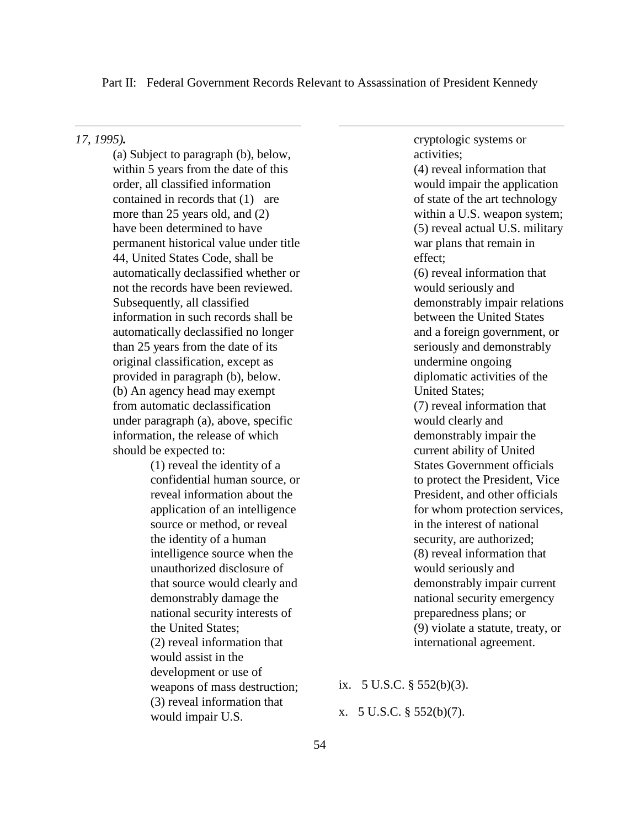Part II: Federal Government Records Relevant to Assassination of President Kennedy

 $\overline{a}$ 

*17, 1995).*

 $\overline{a}$ 

(a) Subject to paragraph (b), below, within 5 years from the date of this order, all classified information contained in records that (1) are more than 25 years old, and (2) have been determined to have permanent historical value under title 44, United States Code, shall be automatically declassified whether or not the records have been reviewed. Subsequently, all classified information in such records shall be automatically declassified no longer than 25 years from the date of its original classification, except as provided in paragraph (b), below. (b) An agency head may exempt from automatic declassification under paragraph (a), above, specific information, the release of which should be expected to:

> (1) reveal the identity of a confidential human source, or reveal information about the application of an intelligence source or method, or reveal the identity of a human intelligence source when the unauthorized disclosure of that source would clearly and demonstrably damage the national security interests of the United States; (2) reveal information that would assist in the development or use of weapons of mass destruction; (3) reveal information that would impair U.S.

cryptologic systems or activities; (4) reveal information that would impair the application of state of the art technology within a U.S. weapon system; (5) reveal actual U.S. military war plans that remain in effect; (6) reveal information that would seriously and demonstrably impair relations between the United States and a foreign government, or seriously and demonstrably undermine ongoing diplomatic activities of the United States; (7) reveal information that would clearly and demonstrably impair the current ability of United States Government officials to protect the President, Vice President, and other officials for whom protection services, in the interest of national security, are authorized; (8) reveal information that would seriously and demonstrably impair current national security emergency preparedness plans; or (9) violate a statute, treaty, or international agreement.

ix. 5 U.S.C. § 552(b)(3).

x. 5 U.S.C. § 552(b)(7).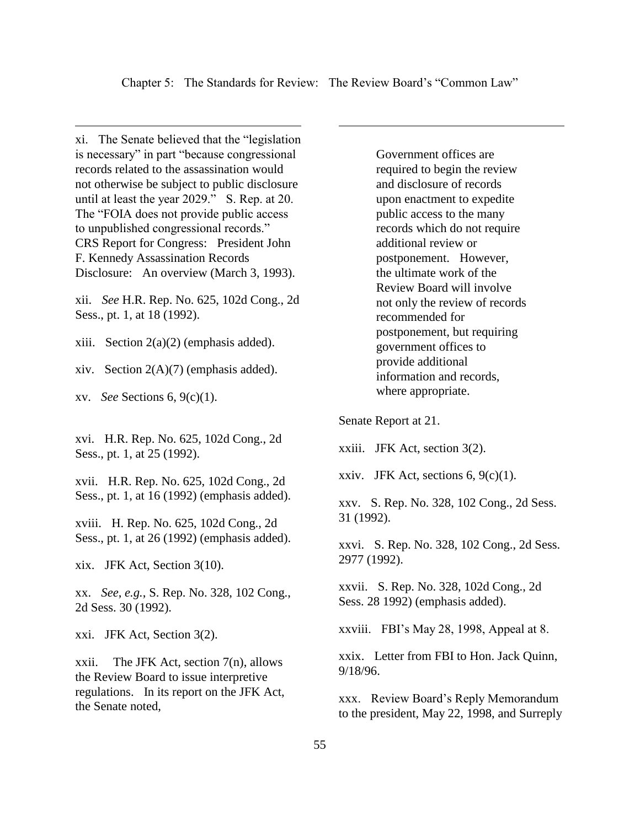$\overline{a}$ 

xi. The Senate believed that the "legislation is necessary" in part "because congressional records related to the assassination would not otherwise be subject to public disclosure until at least the year 2029." S. Rep. at 20. The "FOIA does not provide public access to unpublished congressional records." CRS Report for Congress: President John F. Kennedy Assassination Records Disclosure: An overview (March 3, 1993).

xii. *See* H.R. Rep. No. 625, 102d Cong., 2d Sess., pt. 1, at 18 (1992).

xiii. Section  $2(a)(2)$  (emphasis added).

xiv. Section  $2(A)(7)$  (emphasis added).

xv. *See* Sections 6, 9(c)(1).

 $\overline{a}$ 

xvi. H.R. Rep. No. 625, 102d Cong., 2d Sess., pt. 1, at 25 (1992).

xvii. H.R. Rep. No. 625, 102d Cong., 2d Sess., pt. 1, at 16 (1992) (emphasis added).

xviii. H. Rep. No. 625, 102d Cong., 2d Sess., pt. 1, at 26 (1992) (emphasis added).

xix. JFK Act, Section 3(10).

xx. *See*, *e.g.*, S. Rep. No. 328, 102 Cong., 2d Sess. 30 (1992).

xxi. JFK Act, Section 3(2).

xxii. The JFK Act, section 7(n), allows the Review Board to issue interpretive regulations. In its report on the JFK Act, the Senate noted,

Government offices are required to begin the review and disclosure of records upon enactment to expedite public access to the many records which do not require additional review or postponement. However, the ultimate work of the Review Board will involve not only the review of records recommended for postponement, but requiring government offices to provide additional information and records, where appropriate.

Senate Report at 21.

xxiii. JFK Act, section 3(2).

xxiv. JFK Act, sections  $6, 9(c)(1)$ .

xxv. S. Rep. No. 328, 102 Cong., 2d Sess. 31 (1992).

xxvi. S. Rep. No. 328, 102 Cong., 2d Sess. 2977 (1992).

xxvii. S. Rep. No. 328, 102d Cong., 2d Sess. 28 1992) (emphasis added).

xxviii. FBI's May 28, 1998, Appeal at 8.

xxix. Letter from FBI to Hon. Jack Quinn, 9/18/96.

xxx. Review Board's Reply Memorandum to the president, May 22, 1998, and Surreply